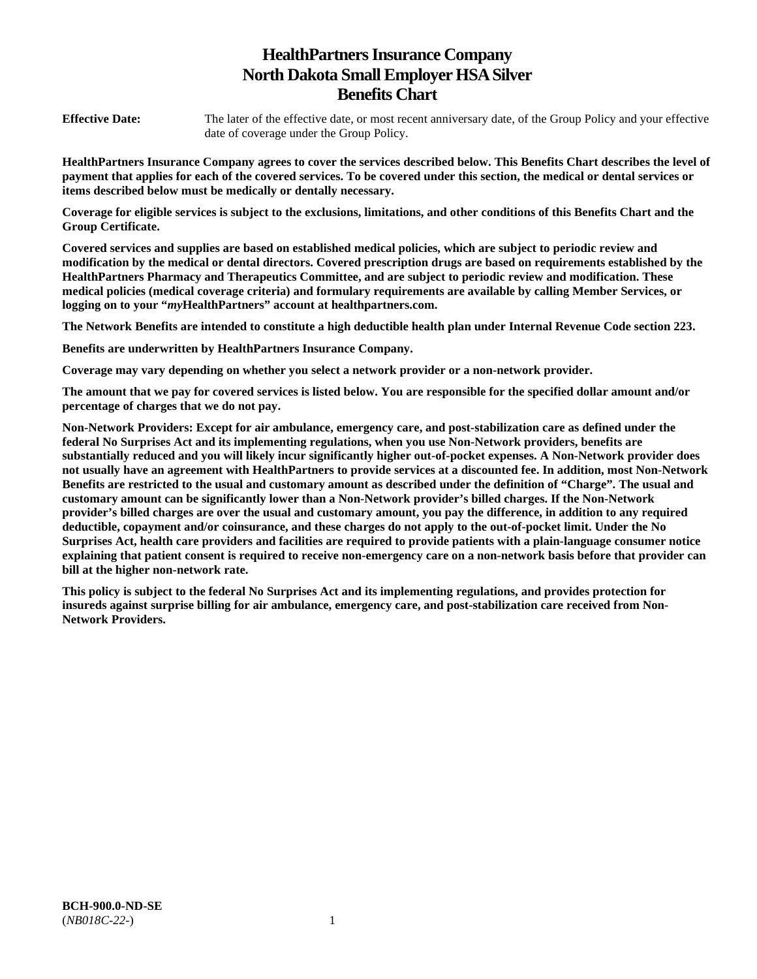# **HealthPartners Insurance Company North Dakota Small Employer HSA Silver Benefits Chart**

**Effective Date:** The later of the effective date, or most recent anniversary date, of the Group Policy and your effective date of coverage under the Group Policy.

**HealthPartners Insurance Company agrees to cover the services described below. This Benefits Chart describes the level of payment that applies for each of the covered services. To be covered under this section, the medical or dental services or items described below must be medically or dentally necessary.** 

**Coverage for eligible services is subject to the exclusions, limitations, and other conditions of this Benefits Chart and the Group Certificate.** 

**Covered services and supplies are based on established medical policies, which are subject to periodic review and modification by the medical or dental directors. Covered prescription drugs are based on requirements established by the HealthPartners Pharmacy and Therapeutics Committee, and are subject to periodic review and modification. These medical policies (medical coverage criteria) and formulary requirements are available by calling Member Services, or logging on to your "***my***HealthPartners" account at [healthpartners.com.](http://healthpartners.com/)** 

**The Network Benefits are intended to constitute a high deductible health plan under Internal Revenue Code section 223.**

**Benefits are underwritten by HealthPartners Insurance Company.** 

**Coverage may vary depending on whether you select a network provider or a non-network provider.** 

**The amount that we pay for covered services is listed below. You are responsible for the specified dollar amount and/or percentage of charges that we do not pay.** 

**Non-Network Providers: Except for air ambulance, emergency care, and post-stabilization care as defined under the federal No Surprises Act and its implementing regulations, when you use Non-Network providers, benefits are substantially reduced and you will likely incur significantly higher out-of-pocket expenses. A Non-Network provider does not usually have an agreement with HealthPartners to provide services at a discounted fee. In addition, most Non-Network Benefits are restricted to the usual and customary amount as described under the definition of "Charge". The usual and customary amount can be significantly lower than a Non-Network provider's billed charges. If the Non-Network provider's billed charges are over the usual and customary amount, you pay the difference, in addition to any required deductible, copayment and/or coinsurance, and these charges do not apply to the out-of-pocket limit. Under the No Surprises Act, health care providers and facilities are required to provide patients with a plain-language consumer notice explaining that patient consent is required to receive non-emergency care on a non-network basis before that provider can bill at the higher non-network rate.** 

**This policy is subject to the federal No Surprises Act and its implementing regulations, and provides protection for insureds against surprise billing for air ambulance, emergency care, and post-stabilization care received from Non-Network Providers.**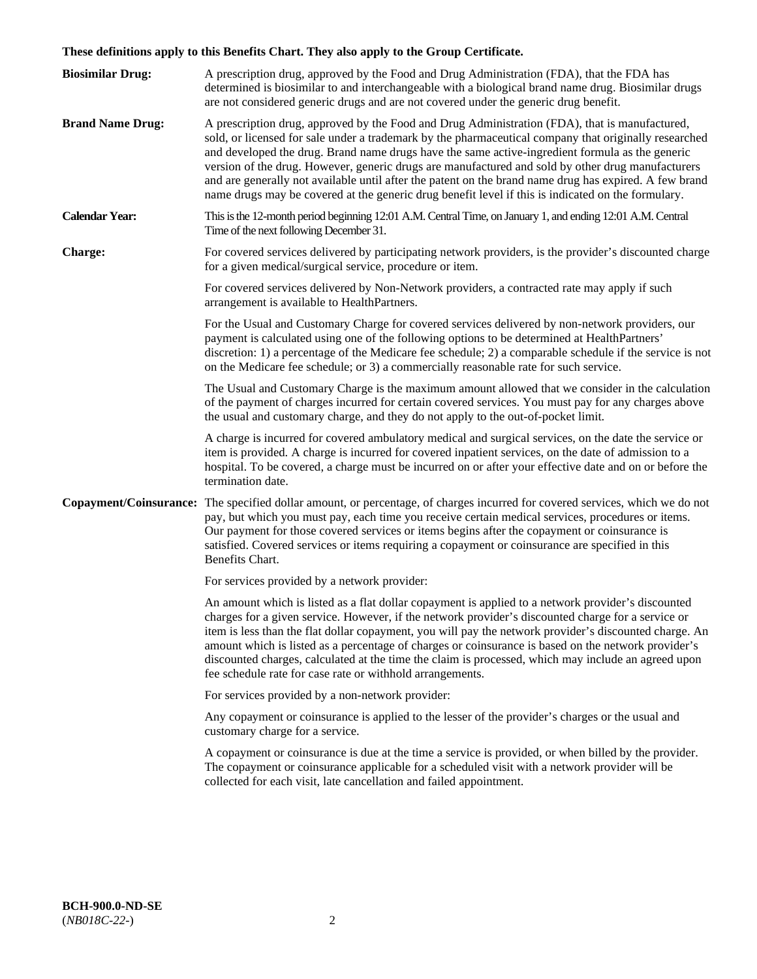# **These definitions apply to this Benefits Chart. They also apply to the Group Certificate.**

| <b>Biosimilar Drug:</b> | A prescription drug, approved by the Food and Drug Administration (FDA), that the FDA has<br>determined is biosimilar to and interchangeable with a biological brand name drug. Biosimilar drugs<br>are not considered generic drugs and are not covered under the generic drug benefit.                                                                                                                                                                                                                                                                                                                                        |
|-------------------------|---------------------------------------------------------------------------------------------------------------------------------------------------------------------------------------------------------------------------------------------------------------------------------------------------------------------------------------------------------------------------------------------------------------------------------------------------------------------------------------------------------------------------------------------------------------------------------------------------------------------------------|
| <b>Brand Name Drug:</b> | A prescription drug, approved by the Food and Drug Administration (FDA), that is manufactured,<br>sold, or licensed for sale under a trademark by the pharmaceutical company that originally researched<br>and developed the drug. Brand name drugs have the same active-ingredient formula as the generic<br>version of the drug. However, generic drugs are manufactured and sold by other drug manufacturers<br>and are generally not available until after the patent on the brand name drug has expired. A few brand<br>name drugs may be covered at the generic drug benefit level if this is indicated on the formulary. |
| <b>Calendar Year:</b>   | This is the 12-month period beginning 12:01 A.M. Central Time, on January 1, and ending 12:01 A.M. Central<br>Time of the next following December 31.                                                                                                                                                                                                                                                                                                                                                                                                                                                                           |
| <b>Charge:</b>          | For covered services delivered by participating network providers, is the provider's discounted charge<br>for a given medical/surgical service, procedure or item.                                                                                                                                                                                                                                                                                                                                                                                                                                                              |
|                         | For covered services delivered by Non-Network providers, a contracted rate may apply if such<br>arrangement is available to HealthPartners.                                                                                                                                                                                                                                                                                                                                                                                                                                                                                     |
|                         | For the Usual and Customary Charge for covered services delivered by non-network providers, our<br>payment is calculated using one of the following options to be determined at HealthPartners'<br>discretion: 1) a percentage of the Medicare fee schedule; 2) a comparable schedule if the service is not<br>on the Medicare fee schedule; or 3) a commercially reasonable rate for such service.                                                                                                                                                                                                                             |
|                         | The Usual and Customary Charge is the maximum amount allowed that we consider in the calculation<br>of the payment of charges incurred for certain covered services. You must pay for any charges above<br>the usual and customary charge, and they do not apply to the out-of-pocket limit.                                                                                                                                                                                                                                                                                                                                    |
|                         | A charge is incurred for covered ambulatory medical and surgical services, on the date the service or<br>item is provided. A charge is incurred for covered inpatient services, on the date of admission to a<br>hospital. To be covered, a charge must be incurred on or after your effective date and on or before the<br>termination date.                                                                                                                                                                                                                                                                                   |
|                         | Copayment/Coinsurance: The specified dollar amount, or percentage, of charges incurred for covered services, which we do not<br>pay, but which you must pay, each time you receive certain medical services, procedures or items.<br>Our payment for those covered services or items begins after the copayment or coinsurance is<br>satisfied. Covered services or items requiring a copayment or coinsurance are specified in this<br>Benefits Chart.                                                                                                                                                                         |
|                         | For services provided by a network provider:                                                                                                                                                                                                                                                                                                                                                                                                                                                                                                                                                                                    |
|                         | An amount which is listed as a flat dollar copayment is applied to a network provider's discounted<br>charges for a given service. However, if the network provider's discounted charge for a service or<br>item is less than the flat dollar copayment, you will pay the network provider's discounted charge. An<br>amount which is listed as a percentage of charges or coinsurance is based on the network provider's<br>discounted charges, calculated at the time the claim is processed, which may include an agreed upon<br>fee schedule rate for case rate or withhold arrangements.                                   |
|                         | For services provided by a non-network provider:                                                                                                                                                                                                                                                                                                                                                                                                                                                                                                                                                                                |
|                         | Any copayment or coinsurance is applied to the lesser of the provider's charges or the usual and<br>customary charge for a service.                                                                                                                                                                                                                                                                                                                                                                                                                                                                                             |
|                         | A copayment or coinsurance is due at the time a service is provided, or when billed by the provider.<br>The copayment or coinsurance applicable for a scheduled visit with a network provider will be<br>collected for each visit, late cancellation and failed appointment.                                                                                                                                                                                                                                                                                                                                                    |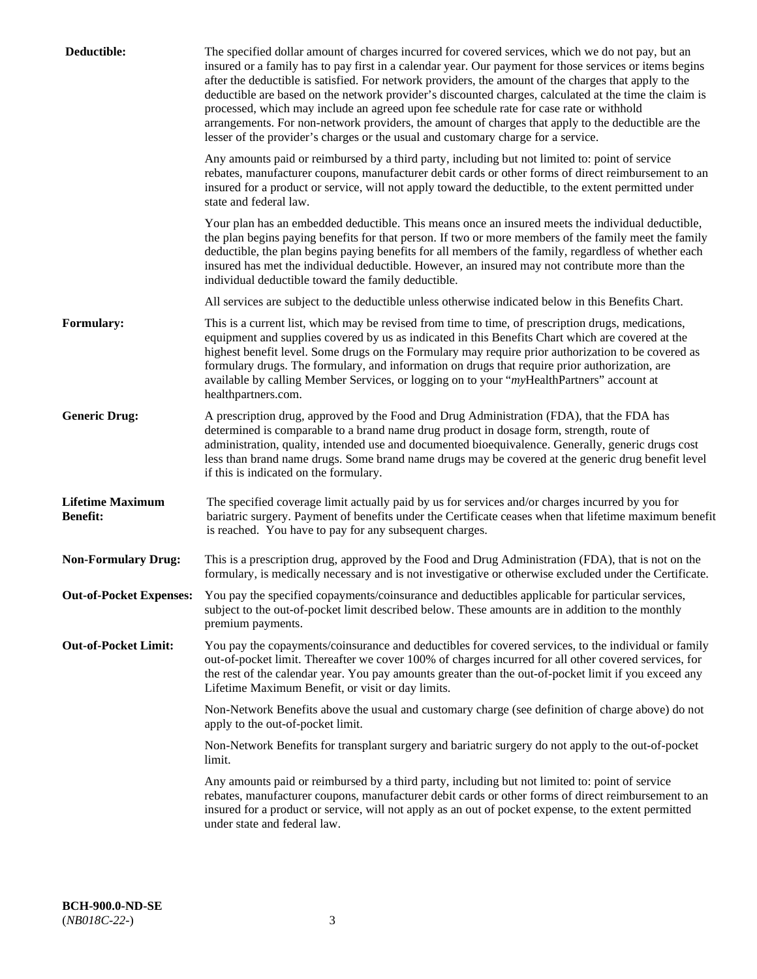| Deductible:                                | The specified dollar amount of charges incurred for covered services, which we do not pay, but an<br>insured or a family has to pay first in a calendar year. Our payment for those services or items begins<br>after the deductible is satisfied. For network providers, the amount of the charges that apply to the<br>deductible are based on the network provider's discounted charges, calculated at the time the claim is<br>processed, which may include an agreed upon fee schedule rate for case rate or withhold<br>arrangements. For non-network providers, the amount of charges that apply to the deductible are the<br>lesser of the provider's charges or the usual and customary charge for a service. |
|--------------------------------------------|------------------------------------------------------------------------------------------------------------------------------------------------------------------------------------------------------------------------------------------------------------------------------------------------------------------------------------------------------------------------------------------------------------------------------------------------------------------------------------------------------------------------------------------------------------------------------------------------------------------------------------------------------------------------------------------------------------------------|
|                                            | Any amounts paid or reimbursed by a third party, including but not limited to: point of service<br>rebates, manufacturer coupons, manufacturer debit cards or other forms of direct reimbursement to an<br>insured for a product or service, will not apply toward the deductible, to the extent permitted under<br>state and federal law.                                                                                                                                                                                                                                                                                                                                                                             |
|                                            | Your plan has an embedded deductible. This means once an insured meets the individual deductible,<br>the plan begins paying benefits for that person. If two or more members of the family meet the family<br>deductible, the plan begins paying benefits for all members of the family, regardless of whether each<br>insured has met the individual deductible. However, an insured may not contribute more than the<br>individual deductible toward the family deductible.                                                                                                                                                                                                                                          |
|                                            | All services are subject to the deductible unless otherwise indicated below in this Benefits Chart.                                                                                                                                                                                                                                                                                                                                                                                                                                                                                                                                                                                                                    |
| <b>Formulary:</b>                          | This is a current list, which may be revised from time to time, of prescription drugs, medications,<br>equipment and supplies covered by us as indicated in this Benefits Chart which are covered at the<br>highest benefit level. Some drugs on the Formulary may require prior authorization to be covered as<br>formulary drugs. The formulary, and information on drugs that require prior authorization, are<br>available by calling Member Services, or logging on to your "myHealthPartners" account at<br>healthpartners.com.                                                                                                                                                                                  |
| <b>Generic Drug:</b>                       | A prescription drug, approved by the Food and Drug Administration (FDA), that the FDA has<br>determined is comparable to a brand name drug product in dosage form, strength, route of<br>administration, quality, intended use and documented bioequivalence. Generally, generic drugs cost<br>less than brand name drugs. Some brand name drugs may be covered at the generic drug benefit level<br>if this is indicated on the formulary.                                                                                                                                                                                                                                                                            |
| <b>Lifetime Maximum</b><br><b>Benefit:</b> | The specified coverage limit actually paid by us for services and/or charges incurred by you for<br>bariatric surgery. Payment of benefits under the Certificate ceases when that lifetime maximum benefit<br>is reached. You have to pay for any subsequent charges.                                                                                                                                                                                                                                                                                                                                                                                                                                                  |
| <b>Non-Formulary Drug:</b>                 | This is a prescription drug, approved by the Food and Drug Administration (FDA), that is not on the<br>formulary, is medically necessary and is not investigative or otherwise excluded under the Certificate.                                                                                                                                                                                                                                                                                                                                                                                                                                                                                                         |
|                                            | Out-of-Pocket Expenses: You pay the specified copayments/coinsurance and deductibles applicable for particular services,<br>subject to the out-of-pocket limit described below. These amounts are in addition to the monthly<br>premium payments.                                                                                                                                                                                                                                                                                                                                                                                                                                                                      |
| <b>Out-of-Pocket Limit:</b>                | You pay the copayments/coinsurance and deductibles for covered services, to the individual or family<br>out-of-pocket limit. Thereafter we cover 100% of charges incurred for all other covered services, for<br>the rest of the calendar year. You pay amounts greater than the out-of-pocket limit if you exceed any<br>Lifetime Maximum Benefit, or visit or day limits.                                                                                                                                                                                                                                                                                                                                            |
|                                            | Non-Network Benefits above the usual and customary charge (see definition of charge above) do not<br>apply to the out-of-pocket limit.                                                                                                                                                                                                                                                                                                                                                                                                                                                                                                                                                                                 |
|                                            | Non-Network Benefits for transplant surgery and bariatric surgery do not apply to the out-of-pocket<br>limit.                                                                                                                                                                                                                                                                                                                                                                                                                                                                                                                                                                                                          |
|                                            | Any amounts paid or reimbursed by a third party, including but not limited to: point of service<br>rebates, manufacturer coupons, manufacturer debit cards or other forms of direct reimbursement to an<br>insured for a product or service, will not apply as an out of pocket expense, to the extent permitted<br>under state and federal law.                                                                                                                                                                                                                                                                                                                                                                       |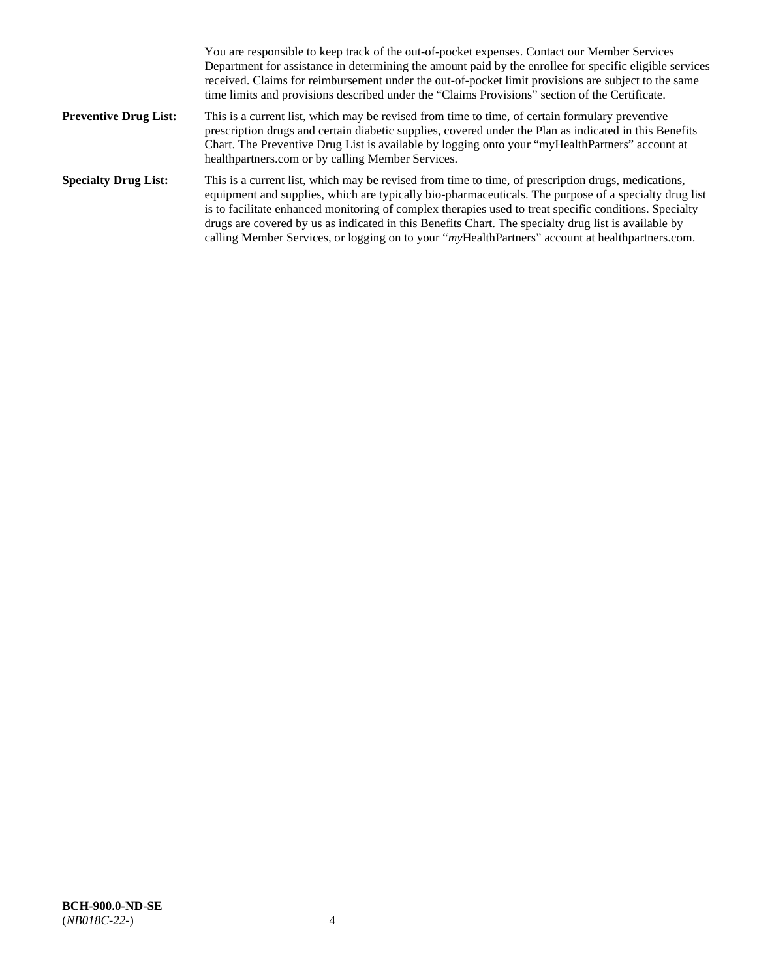|                              | You are responsible to keep track of the out-of-pocket expenses. Contact our Member Services<br>Department for assistance in determining the amount paid by the enrollee for specific eligible services<br>received. Claims for reimbursement under the out-of-pocket limit provisions are subject to the same<br>time limits and provisions described under the "Claims Provisions" section of the Certificate.                                                                                                                   |
|------------------------------|------------------------------------------------------------------------------------------------------------------------------------------------------------------------------------------------------------------------------------------------------------------------------------------------------------------------------------------------------------------------------------------------------------------------------------------------------------------------------------------------------------------------------------|
| <b>Preventive Drug List:</b> | This is a current list, which may be revised from time to time, of certain formulary preventive<br>prescription drugs and certain diabetic supplies, covered under the Plan as indicated in this Benefits<br>Chart. The Preventive Drug List is available by logging onto your "myHealthPartners" account at<br>healthpartners.com or by calling Member Services.                                                                                                                                                                  |
| <b>Specialty Drug List:</b>  | This is a current list, which may be revised from time to time, of prescription drugs, medications,<br>equipment and supplies, which are typically bio-pharmaceuticals. The purpose of a specialty drug list<br>is to facilitate enhanced monitoring of complex therapies used to treat specific conditions. Specialty<br>drugs are covered by us as indicated in this Benefits Chart. The specialty drug list is available by<br>calling Member Services, or logging on to your "myHealthPartners" account at healthpartners.com. |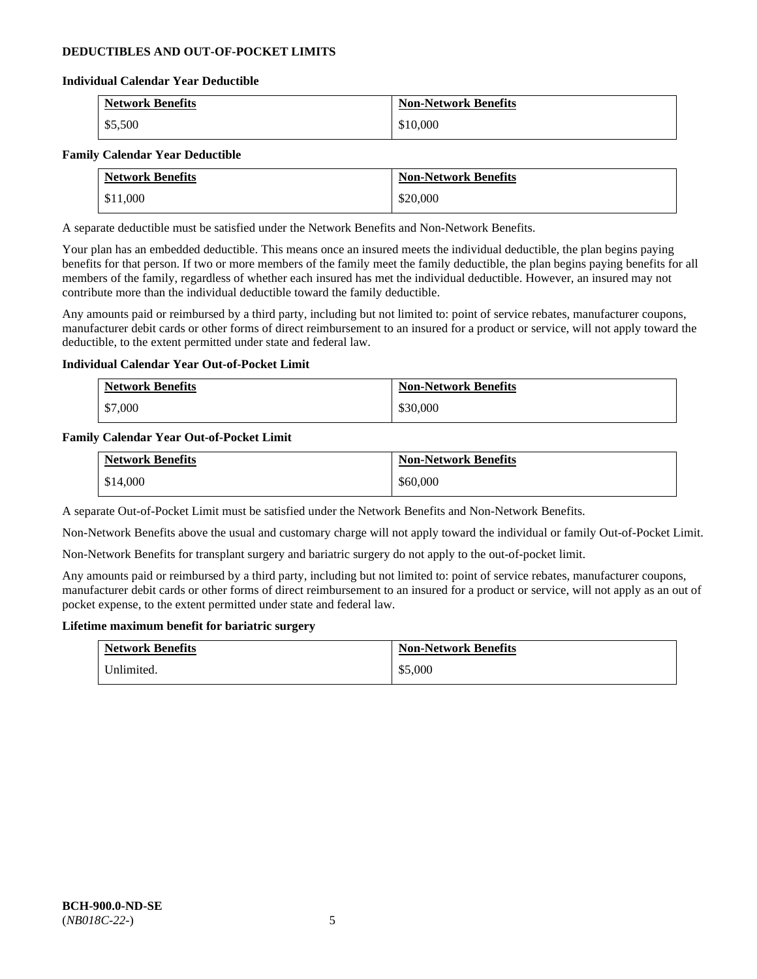# **DEDUCTIBLES AND OUT-OF-POCKET LIMITS**

#### **Individual Calendar Year Deductible**

| <b>Network Benefits</b> | <b>Non-Network Benefits</b> |
|-------------------------|-----------------------------|
| \$5,500                 | \$10,000                    |

#### **Family Calendar Year Deductible**

| <b>Network Benefits</b> | <b>Non-Network Benefits</b> |
|-------------------------|-----------------------------|
| \$11,000                | \$20,000                    |

A separate deductible must be satisfied under the Network Benefits and Non-Network Benefits.

Your plan has an embedded deductible. This means once an insured meets the individual deductible, the plan begins paying benefits for that person. If two or more members of the family meet the family deductible, the plan begins paying benefits for all members of the family, regardless of whether each insured has met the individual deductible. However, an insured may not contribute more than the individual deductible toward the family deductible.

Any amounts paid or reimbursed by a third party, including but not limited to: point of service rebates, manufacturer coupons, manufacturer debit cards or other forms of direct reimbursement to an insured for a product or service, will not apply toward the deductible, to the extent permitted under state and federal law.

### **Individual Calendar Year Out-of-Pocket Limit**

| <b>Network Benefits</b> | <b>Non-Network Benefits</b> |
|-------------------------|-----------------------------|
| \$7,000                 | \$30,000                    |

#### **Family Calendar Year Out-of-Pocket Limit**

| <b>Network Benefits</b> | <b>Non-Network Benefits</b> |
|-------------------------|-----------------------------|
| \$14,000                | \$60,000                    |

A separate Out-of-Pocket Limit must be satisfied under the Network Benefits and Non-Network Benefits.

Non-Network Benefits above the usual and customary charge will not apply toward the individual or family Out-of-Pocket Limit.

Non-Network Benefits for transplant surgery and bariatric surgery do not apply to the out-of-pocket limit.

Any amounts paid or reimbursed by a third party, including but not limited to: point of service rebates, manufacturer coupons, manufacturer debit cards or other forms of direct reimbursement to an insured for a product or service, will not apply as an out of pocket expense, to the extent permitted under state and federal law.

#### **Lifetime maximum benefit for bariatric surgery**

| <b>Network Benefits</b> | <b>Non-Network Benefits</b> |
|-------------------------|-----------------------------|
| Unlimited.              | \$5,000                     |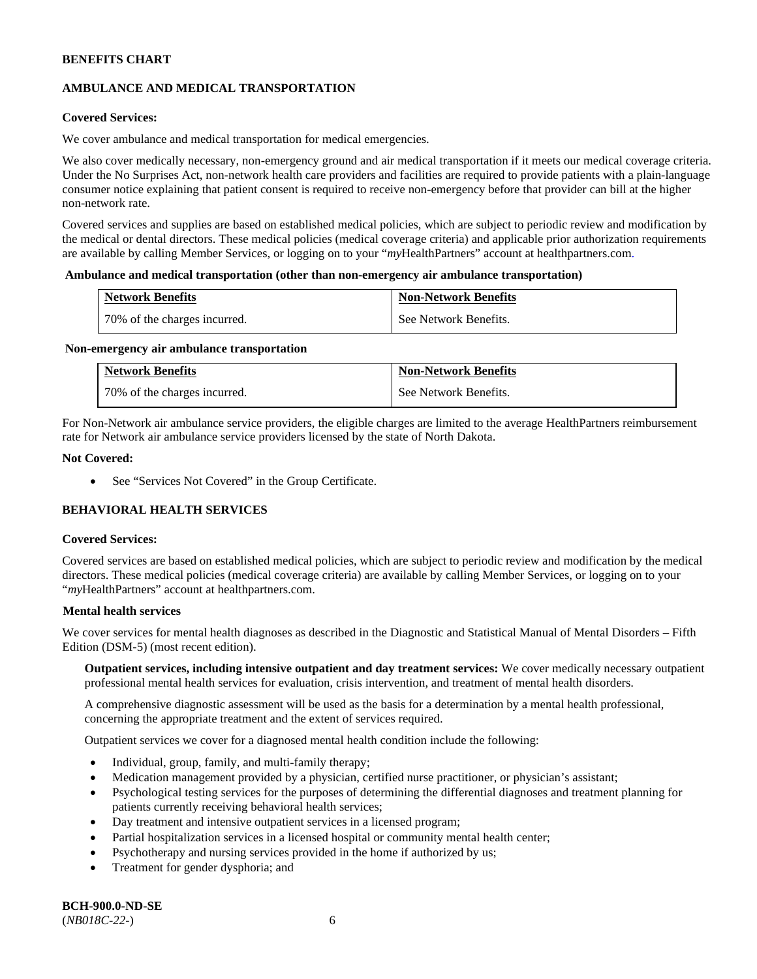# **AMBULANCE AND MEDICAL TRANSPORTATION**

# **Covered Services:**

We cover ambulance and medical transportation for medical emergencies.

We also cover medically necessary, non-emergency ground and air medical transportation if it meets our medical coverage criteria. Under the No Surprises Act, non-network health care providers and facilities are required to provide patients with a plain-language consumer notice explaining that patient consent is required to receive non-emergency before that provider can bill at the higher non-network rate.

Covered services and supplies are based on established medical policies, which are subject to periodic review and modification by the medical or dental directors. These medical policies (medical coverage criteria) and applicable prior authorization requirements are available by calling Member Services, or logging on to your "*my*HealthPartners" account a[t healthpartners.com.](http://www.healthpartners.com/)

#### **Ambulance and medical transportation (other than non-emergency air ambulance transportation)**

| <b>Network Benefits</b>      | <b>Non-Network Benefits</b> |
|------------------------------|-----------------------------|
| 70% of the charges incurred. | See Network Benefits.       |

#### **Non-emergency air ambulance transportation**

| <b>Network Benefits</b>      | <b>Non-Network Benefits</b> |
|------------------------------|-----------------------------|
| 70% of the charges incurred. | See Network Benefits.       |

For Non-Network air ambulance service providers, the eligible charges are limited to the average HealthPartners reimbursement rate for Network air ambulance service providers licensed by the state of North Dakota.

#### **Not Covered:**

• See "Services Not Covered" in the Group Certificate.

# **BEHAVIORAL HEALTH SERVICES**

#### **Covered Services:**

Covered services are based on established medical policies, which are subject to periodic review and modification by the medical directors. These medical policies (medical coverage criteria) are available by calling Member Services, or logging on to your "*my*HealthPartners" account at [healthpartners.com.](http://healthpartners.com/)

### **Mental health services**

We cover services for mental health diagnoses as described in the Diagnostic and Statistical Manual of Mental Disorders – Fifth Edition (DSM-5) (most recent edition).

**Outpatient services, including intensive outpatient and day treatment services:** We cover medically necessary outpatient professional mental health services for evaluation, crisis intervention, and treatment of mental health disorders.

A comprehensive diagnostic assessment will be used as the basis for a determination by a mental health professional, concerning the appropriate treatment and the extent of services required.

Outpatient services we cover for a diagnosed mental health condition include the following:

- Individual, group, family, and multi-family therapy;
- Medication management provided by a physician, certified nurse practitioner, or physician's assistant;
- Psychological testing services for the purposes of determining the differential diagnoses and treatment planning for patients currently receiving behavioral health services;
- Day treatment and intensive outpatient services in a licensed program;
- Partial hospitalization services in a licensed hospital or community mental health center;
- Psychotherapy and nursing services provided in the home if authorized by us;
- Treatment for gender dysphoria; and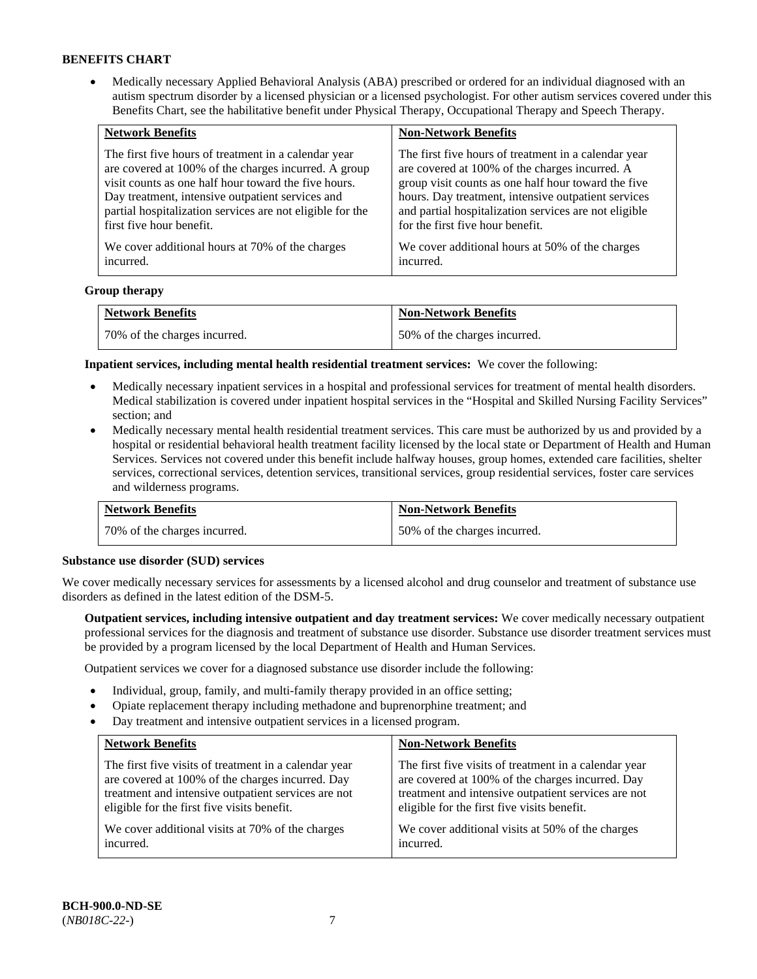• Medically necessary Applied Behavioral Analysis (ABA) prescribed or ordered for an individual diagnosed with an autism spectrum disorder by a licensed physician or a licensed psychologist. For other autism services covered under this Benefits Chart, see the habilitative benefit under Physical Therapy, Occupational Therapy and Speech Therapy.

| <b>Network Benefits</b>                                   | <b>Non-Network Benefits</b>                           |
|-----------------------------------------------------------|-------------------------------------------------------|
| The first five hours of treatment in a calendar year      | The first five hours of treatment in a calendar year  |
| are covered at 100% of the charges incurred. A group      | are covered at 100% of the charges incurred. A        |
| visit counts as one half hour toward the five hours.      | group visit counts as one half hour toward the five   |
| Day treatment, intensive outpatient services and          | hours. Day treatment, intensive outpatient services   |
| partial hospitalization services are not eligible for the | and partial hospitalization services are not eligible |
| first five hour benefit.                                  | for the first five hour benefit.                      |
| We cover additional hours at 70% of the charges           | We cover additional hours at 50% of the charges       |
| incurred.                                                 | incurred.                                             |

#### **Group therapy**

| <b>Network Benefits</b>        | <b>Non-Network Benefits</b>  |
|--------------------------------|------------------------------|
| 1 70% of the charges incurred. | 50% of the charges incurred. |

**Inpatient services, including mental health residential treatment services:** We cover the following:

- Medically necessary inpatient services in a hospital and professional services for treatment of mental health disorders. Medical stabilization is covered under inpatient hospital services in the "Hospital and Skilled Nursing Facility Services" section; and
- Medically necessary mental health residential treatment services. This care must be authorized by us and provided by a hospital or residential behavioral health treatment facility licensed by the local state or Department of Health and Human Services. Services not covered under this benefit include halfway houses, group homes, extended care facilities, shelter services, correctional services, detention services, transitional services, group residential services, foster care services and wilderness programs.

| <b>Network Benefits</b>      | <b>Non-Network Benefits</b>  |
|------------------------------|------------------------------|
| 70% of the charges incurred. | 50% of the charges incurred. |

#### **Substance use disorder (SUD) services**

We cover medically necessary services for assessments by a licensed alcohol and drug counselor and treatment of substance use disorders as defined in the latest edition of the DSM-5.

**Outpatient services, including intensive outpatient and day treatment services:** We cover medically necessary outpatient professional services for the diagnosis and treatment of substance use disorder. Substance use disorder treatment services must be provided by a program licensed by the local Department of Health and Human Services.

Outpatient services we cover for a diagnosed substance use disorder include the following:

- Individual, group, family, and multi-family therapy provided in an office setting;
- Opiate replacement therapy including methadone and buprenorphine treatment; and
- Day treatment and intensive outpatient services in a licensed program.

| <b>Network Benefits</b>                               | <b>Non-Network Benefits</b>                           |
|-------------------------------------------------------|-------------------------------------------------------|
| The first five visits of treatment in a calendar year | The first five visits of treatment in a calendar year |
| are covered at 100% of the charges incurred. Day      | are covered at 100% of the charges incurred. Day      |
| treatment and intensive outpatient services are not   | treatment and intensive outpatient services are not   |
| eligible for the first five visits benefit.           | eligible for the first five visits benefit.           |
| We cover additional visits at 70% of the charges      | We cover additional visits at 50% of the charges      |
| incurred.                                             | incurred.                                             |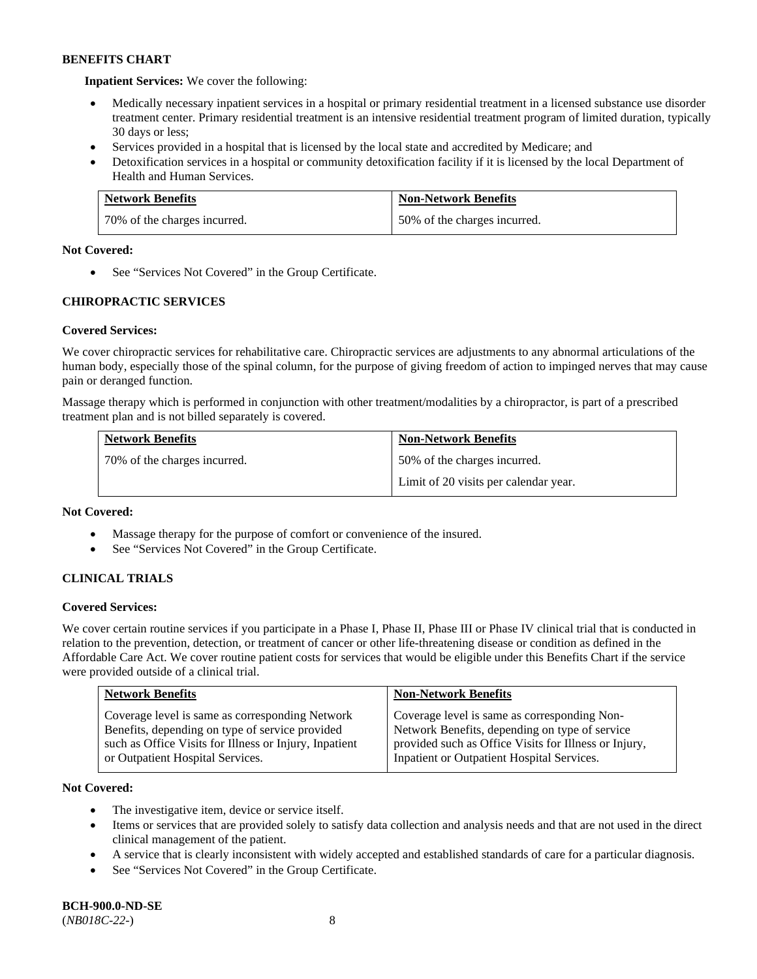**Inpatient Services:** We cover the following:

- Medically necessary inpatient services in a hospital or primary residential treatment in a licensed substance use disorder treatment center. Primary residential treatment is an intensive residential treatment program of limited duration, typically 30 days or less;
- Services provided in a hospital that is licensed by the local state and accredited by Medicare; and
- Detoxification services in a hospital or community detoxification facility if it is licensed by the local Department of Health and Human Services.

| <b>Network Benefits</b>      | <b>Non-Network Benefits</b>  |
|------------------------------|------------------------------|
| 70% of the charges incurred. | 50% of the charges incurred. |

# **Not Covered:**

• See "Services Not Covered" in the Group Certificate.

# **CHIROPRACTIC SERVICES**

# **Covered Services:**

We cover chiropractic services for rehabilitative care. Chiropractic services are adjustments to any abnormal articulations of the human body, especially those of the spinal column, for the purpose of giving freedom of action to impinged nerves that may cause pain or deranged function.

Massage therapy which is performed in conjunction with other treatment/modalities by a chiropractor, is part of a prescribed treatment plan and is not billed separately is covered.

| <b>Network Benefits</b>      | <b>Non-Network Benefits</b>           |
|------------------------------|---------------------------------------|
| 70% of the charges incurred. | 50% of the charges incurred.          |
|                              | Limit of 20 visits per calendar year. |

# **Not Covered:**

- Massage therapy for the purpose of comfort or convenience of the insured.
- See "Services Not Covered" in the Group Certificate.

# **CLINICAL TRIALS**

# **Covered Services:**

We cover certain routine services if you participate in a Phase I, Phase II, Phase III or Phase IV clinical trial that is conducted in relation to the prevention, detection, or treatment of cancer or other life-threatening disease or condition as defined in the Affordable Care Act. We cover routine patient costs for services that would be eligible under this Benefits Chart if the service were provided outside of a clinical trial.

| <b>Network Benefits</b>                                | <b>Non-Network Benefits</b>                           |
|--------------------------------------------------------|-------------------------------------------------------|
| Coverage level is same as corresponding Network        | Coverage level is same as corresponding Non-          |
| Benefits, depending on type of service provided        | Network Benefits, depending on type of service        |
| such as Office Visits for Illness or Injury, Inpatient | provided such as Office Visits for Illness or Injury, |
| or Outpatient Hospital Services.                       | Inpatient or Outpatient Hospital Services.            |

# **Not Covered:**

- The investigative item, device or service itself.
- Items or services that are provided solely to satisfy data collection and analysis needs and that are not used in the direct clinical management of the patient.
- A service that is clearly inconsistent with widely accepted and established standards of care for a particular diagnosis.
- See "Services Not Covered" in the Group Certificate.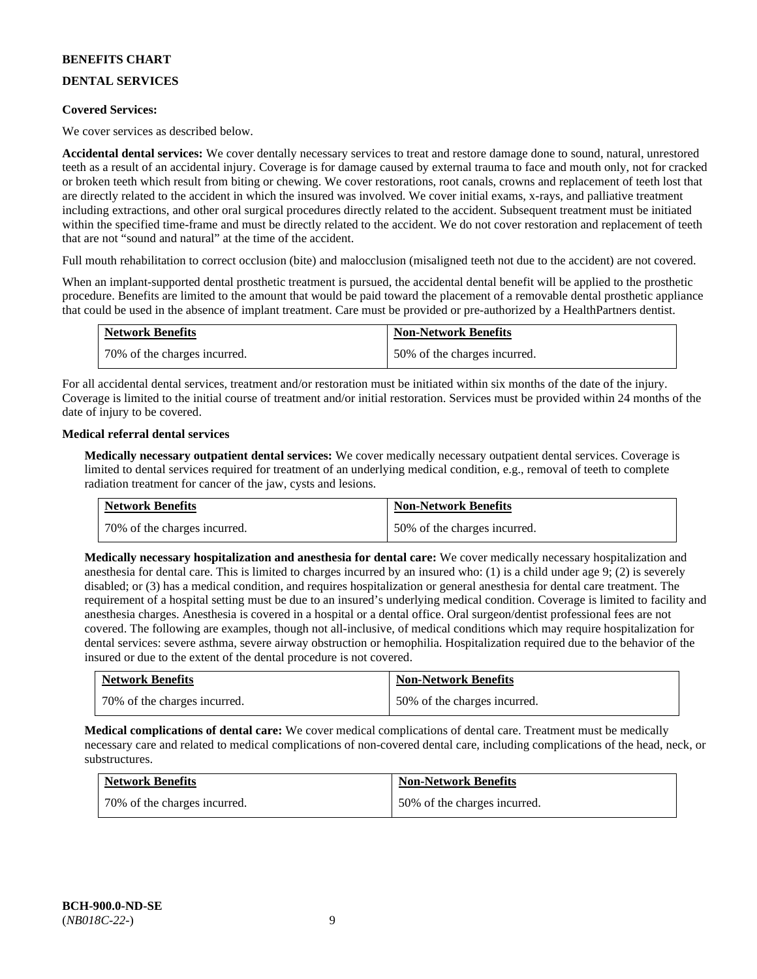# **DENTAL SERVICES**

### **Covered Services:**

We cover services as described below.

**Accidental dental services:** We cover dentally necessary services to treat and restore damage done to sound, natural, unrestored teeth as a result of an accidental injury. Coverage is for damage caused by external trauma to face and mouth only, not for cracked or broken teeth which result from biting or chewing. We cover restorations, root canals, crowns and replacement of teeth lost that are directly related to the accident in which the insured was involved. We cover initial exams, x-rays, and palliative treatment including extractions, and other oral surgical procedures directly related to the accident. Subsequent treatment must be initiated within the specified time-frame and must be directly related to the accident. We do not cover restoration and replacement of teeth that are not "sound and natural" at the time of the accident.

Full mouth rehabilitation to correct occlusion (bite) and malocclusion (misaligned teeth not due to the accident) are not covered.

When an implant-supported dental prosthetic treatment is pursued, the accidental dental benefit will be applied to the prosthetic procedure. Benefits are limited to the amount that would be paid toward the placement of a removable dental prosthetic appliance that could be used in the absence of implant treatment. Care must be provided or pre-authorized by a HealthPartners dentist.

| <b>Network Benefits</b>        | <b>Non-Network Benefits</b>  |
|--------------------------------|------------------------------|
| 1 70% of the charges incurred. | 50% of the charges incurred. |

For all accidental dental services, treatment and/or restoration must be initiated within six months of the date of the injury. Coverage is limited to the initial course of treatment and/or initial restoration. Services must be provided within 24 months of the date of injury to be covered.

#### **Medical referral dental services**

**Medically necessary outpatient dental services:** We cover medically necessary outpatient dental services. Coverage is limited to dental services required for treatment of an underlying medical condition, e.g., removal of teeth to complete radiation treatment for cancer of the jaw, cysts and lesions.

| <b>Network Benefits</b>      | <b>Non-Network Benefits</b>  |
|------------------------------|------------------------------|
| 70% of the charges incurred. | 50% of the charges incurred. |

**Medically necessary hospitalization and anesthesia for dental care:** We cover medically necessary hospitalization and anesthesia for dental care. This is limited to charges incurred by an insured who: (1) is a child under age 9; (2) is severely disabled; or (3) has a medical condition, and requires hospitalization or general anesthesia for dental care treatment. The requirement of a hospital setting must be due to an insured's underlying medical condition. Coverage is limited to facility and anesthesia charges. Anesthesia is covered in a hospital or a dental office. Oral surgeon/dentist professional fees are not covered. The following are examples, though not all-inclusive, of medical conditions which may require hospitalization for dental services: severe asthma, severe airway obstruction or hemophilia. Hospitalization required due to the behavior of the insured or due to the extent of the dental procedure is not covered.

| <b>Network Benefits</b>      | <b>Non-Network Benefits</b>  |
|------------------------------|------------------------------|
| 70% of the charges incurred. | 50% of the charges incurred. |

**Medical complications of dental care:** We cover medical complications of dental care. Treatment must be medically necessary care and related to medical complications of non-covered dental care, including complications of the head, neck, or substructures.

| <b>Network Benefits</b>      | <b>Non-Network Benefits</b>  |
|------------------------------|------------------------------|
| 70% of the charges incurred. | 50% of the charges incurred. |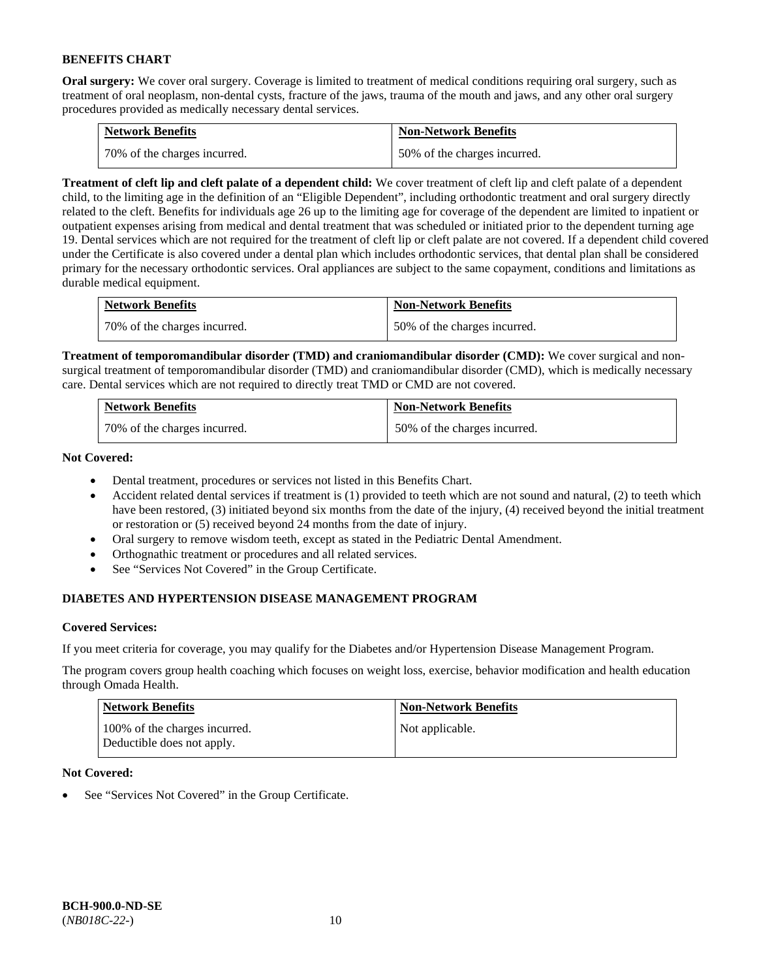**Oral surgery:** We cover oral surgery. Coverage is limited to treatment of medical conditions requiring oral surgery, such as treatment of oral neoplasm, non-dental cysts, fracture of the jaws, trauma of the mouth and jaws, and any other oral surgery procedures provided as medically necessary dental services.

| <b>Network Benefits</b>        | <b>Non-Network Benefits</b>  |
|--------------------------------|------------------------------|
| 1 70% of the charges incurred. | 50% of the charges incurred. |

**Treatment of cleft lip and cleft palate of a dependent child:** We cover treatment of cleft lip and cleft palate of a dependent child, to the limiting age in the definition of an "Eligible Dependent", including orthodontic treatment and oral surgery directly related to the cleft. Benefits for individuals age 26 up to the limiting age for coverage of the dependent are limited to inpatient or outpatient expenses arising from medical and dental treatment that was scheduled or initiated prior to the dependent turning age 19. Dental services which are not required for the treatment of cleft lip or cleft palate are not covered. If a dependent child covered under the Certificate is also covered under a dental plan which includes orthodontic services, that dental plan shall be considered primary for the necessary orthodontic services. Oral appliances are subject to the same copayment, conditions and limitations as durable medical equipment.

| <b>Network Benefits</b>      | <b>Non-Network Benefits</b>  |
|------------------------------|------------------------------|
| 70% of the charges incurred. | 50% of the charges incurred. |

**Treatment of temporomandibular disorder (TMD) and craniomandibular disorder (CMD):** We cover surgical and nonsurgical treatment of temporomandibular disorder (TMD) and craniomandibular disorder (CMD), which is medically necessary care. Dental services which are not required to directly treat TMD or CMD are not covered.

| <b>Network Benefits</b>      | <b>Non-Network Benefits</b>  |
|------------------------------|------------------------------|
| 70% of the charges incurred. | 50% of the charges incurred. |

**Not Covered:** 

- Dental treatment, procedures or services not listed in this Benefits Chart.
- Accident related dental services if treatment is (1) provided to teeth which are not sound and natural, (2) to teeth which have been restored, (3) initiated beyond six months from the date of the injury, (4) received beyond the initial treatment or restoration or (5) received beyond 24 months from the date of injury.
- Oral surgery to remove wisdom teeth, except as stated in the Pediatric Dental Amendment.
- Orthognathic treatment or procedures and all related services.
- See "Services Not Covered" in the Group Certificate.

# **DIABETES AND HYPERTENSION DISEASE MANAGEMENT PROGRAM**

# **Covered Services:**

If you meet criteria for coverage, you may qualify for the Diabetes and/or Hypertension Disease Management Program.

The program covers group health coaching which focuses on weight loss, exercise, behavior modification and health education through Omada Health.

| <b>Network Benefits</b>                                     | <b>Non-Network Benefits</b> |
|-------------------------------------------------------------|-----------------------------|
| 100% of the charges incurred.<br>Deductible does not apply. | Not applicable.             |

# **Not Covered:**

See "Services Not Covered" in the Group Certificate.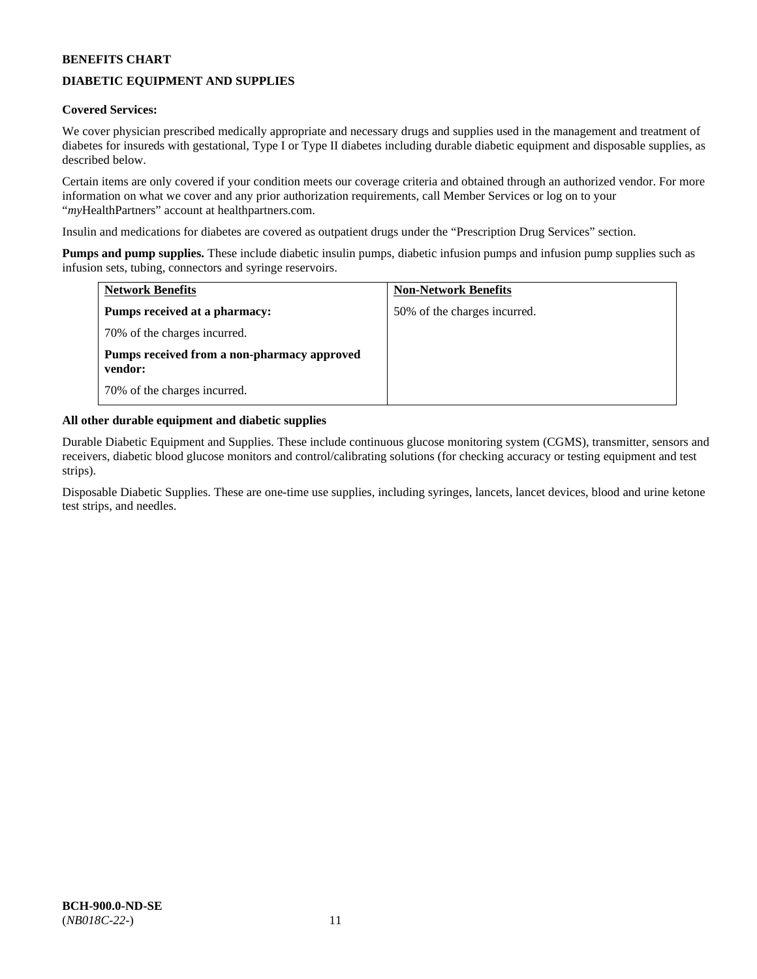# **DIABETIC EQUIPMENT AND SUPPLIES**

# **Covered Services:**

We cover physician prescribed medically appropriate and necessary drugs and supplies used in the management and treatment of diabetes for insureds with gestational, Type I or Type II diabetes including durable diabetic equipment and disposable supplies, as described below.

Certain items are only covered if your condition meets our coverage criteria and obtained through an authorized vendor. For more information on what we cover and any prior authorization requirements, call Member Services or log on to your "*my*HealthPartners" account at [healthpartners.com.](http://www.healthpartners.com/)

Insulin and medications for diabetes are covered as outpatient drugs under the "Prescription Drug Services" section.

**Pumps and pump supplies.** These include diabetic insulin pumps, diabetic infusion pumps and infusion pump supplies such as infusion sets, tubing, connectors and syringe reservoirs.

| <b>Network Benefits</b>                                | <b>Non-Network Benefits</b>  |
|--------------------------------------------------------|------------------------------|
| <b>Pumps received at a pharmacy:</b>                   | 50% of the charges incurred. |
| 70% of the charges incurred.                           |                              |
| Pumps received from a non-pharmacy approved<br>vendor: |                              |
| 70% of the charges incurred.                           |                              |

# **All other durable equipment and diabetic supplies**

Durable Diabetic Equipment and Supplies. These include continuous glucose monitoring system (CGMS), transmitter, sensors and receivers, diabetic blood glucose monitors and control/calibrating solutions (for checking accuracy or testing equipment and test strips).

Disposable Diabetic Supplies. These are one-time use supplies, including syringes, lancets, lancet devices, blood and urine ketone test strips, and needles.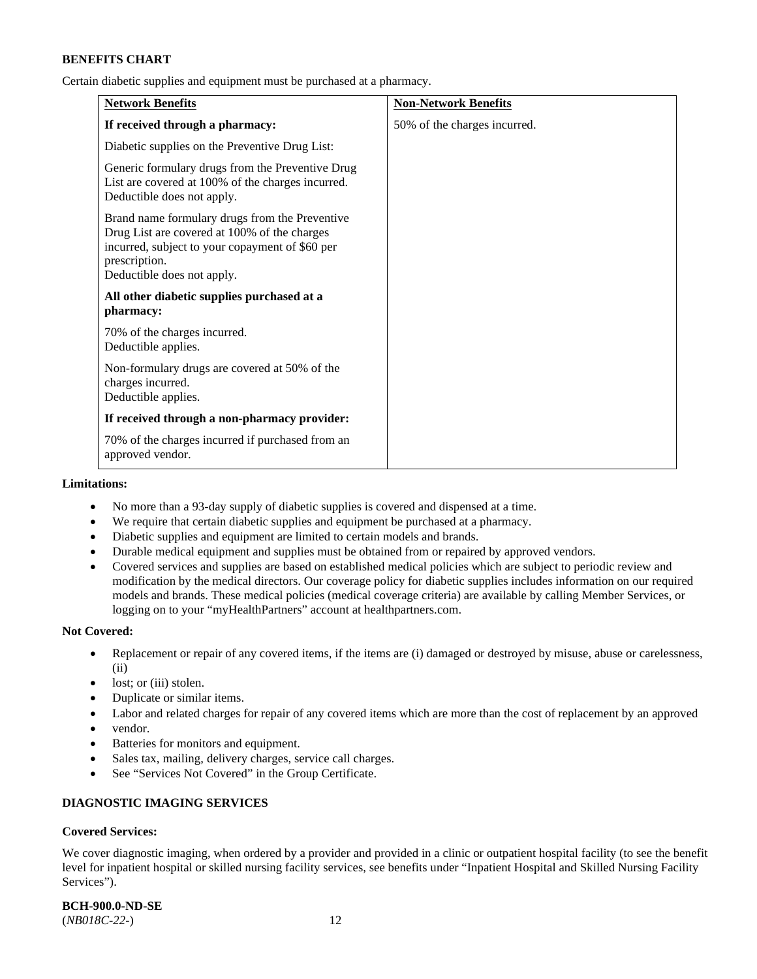Certain diabetic supplies and equipment must be purchased at a pharmacy.

| <b>Network Benefits</b>                                                                                                                                                                          | <b>Non-Network Benefits</b>  |
|--------------------------------------------------------------------------------------------------------------------------------------------------------------------------------------------------|------------------------------|
| If received through a pharmacy:                                                                                                                                                                  | 50% of the charges incurred. |
| Diabetic supplies on the Preventive Drug List:                                                                                                                                                   |                              |
| Generic formulary drugs from the Preventive Drug<br>List are covered at 100% of the charges incurred.<br>Deductible does not apply.                                                              |                              |
| Brand name formulary drugs from the Preventive<br>Drug List are covered at 100% of the charges<br>incurred, subject to your copayment of \$60 per<br>prescription.<br>Deductible does not apply. |                              |
| All other diabetic supplies purchased at a<br>pharmacy:                                                                                                                                          |                              |
| 70% of the charges incurred.<br>Deductible applies.                                                                                                                                              |                              |
| Non-formulary drugs are covered at 50% of the<br>charges incurred.<br>Deductible applies.                                                                                                        |                              |
| If received through a non-pharmacy provider:                                                                                                                                                     |                              |
| 70% of the charges incurred if purchased from an<br>approved vendor.                                                                                                                             |                              |

#### **Limitations:**

- No more than a 93-day supply of diabetic supplies is covered and dispensed at a time.
- We require that certain diabetic supplies and equipment be purchased at a pharmacy.
- Diabetic supplies and equipment are limited to certain models and brands.
- Durable medical equipment and supplies must be obtained from or repaired by approved vendors.
- Covered services and supplies are based on established medical policies which are subject to periodic review and modification by the medical directors. Our coverage policy for diabetic supplies includes information on our required models and brands. These medical policies (medical coverage criteria) are available by calling Member Services, or logging on to your "myHealthPartners" account a[t healthpartners.com.](http://www.healthpartners.com/)

#### **Not Covered:**

- Replacement or repair of any covered items, if the items are (i) damaged or destroyed by misuse, abuse or carelessness, (ii)
- lost; or (iii) stolen.
- Duplicate or similar items.
- Labor and related charges for repair of any covered items which are more than the cost of replacement by an approved
- vendor.
- Batteries for monitors and equipment.
- Sales tax, mailing, delivery charges, service call charges.
- See "Services Not Covered" in the Group Certificate.

# **DIAGNOSTIC IMAGING SERVICES**

# **Covered Services:**

We cover diagnostic imaging, when ordered by a provider and provided in a clinic or outpatient hospital facility (to see the benefit level for inpatient hospital or skilled nursing facility services, see benefits under "Inpatient Hospital and Skilled Nursing Facility Services").

**BCH-900.0-ND-SE**

(*NB018C-22-*) 12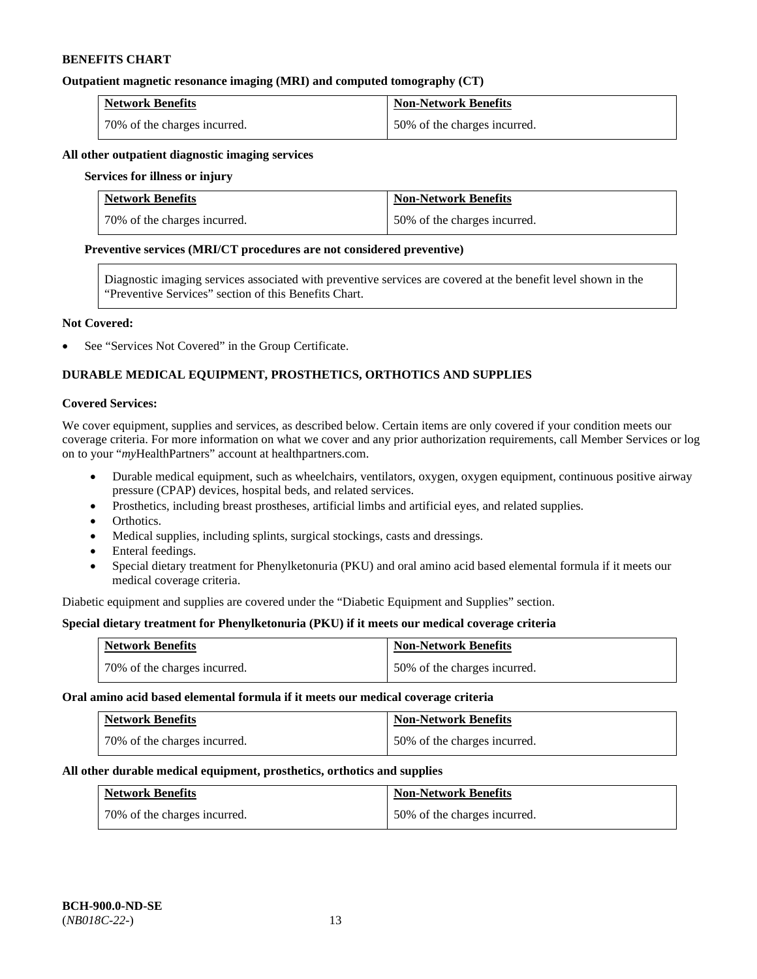#### **Outpatient magnetic resonance imaging (MRI) and computed tomography (CT)**

| <b>Network Benefits</b>      | <b>Non-Network Benefits</b>  |
|------------------------------|------------------------------|
| 70% of the charges incurred. | 50% of the charges incurred. |

#### **All other outpatient diagnostic imaging services**

#### **Services for illness or injury**

| <b>Network Benefits</b>      | <b>Non-Network Benefits</b>  |
|------------------------------|------------------------------|
| 70% of the charges incurred. | 50% of the charges incurred. |

#### **Preventive services (MRI/CT procedures are not considered preventive)**

Diagnostic imaging services associated with preventive services are covered at the benefit level shown in the "Preventive Services" section of this Benefits Chart.

#### **Not Covered:**

See "Services Not Covered" in the Group Certificate.

# **DURABLE MEDICAL EQUIPMENT, PROSTHETICS, ORTHOTICS AND SUPPLIES**

#### **Covered Services:**

We cover equipment, supplies and services, as described below. Certain items are only covered if your condition meets our coverage criteria. For more information on what we cover and any prior authorization requirements, call Member Services or log on to your "*my*HealthPartners" account at [healthpartners.com.](http://www.healthpartners.com/)

- Durable medical equipment, such as wheelchairs, ventilators, oxygen, oxygen equipment, continuous positive airway pressure (CPAP) devices, hospital beds, and related services.
- Prosthetics, including breast prostheses, artificial limbs and artificial eyes, and related supplies.
- Orthotics.
- Medical supplies, including splints, surgical stockings, casts and dressings.
- Enteral feedings.
- Special dietary treatment for Phenylketonuria (PKU) and oral amino acid based elemental formula if it meets our medical coverage criteria.

Diabetic equipment and supplies are covered under the "Diabetic Equipment and Supplies" section.

# **Special dietary treatment for Phenylketonuria (PKU) if it meets our medical coverage criteria**

| <b>Network Benefits</b>      | <b>Non-Network Benefits</b>  |
|------------------------------|------------------------------|
| 70% of the charges incurred. | 50% of the charges incurred. |

#### **Oral amino acid based elemental formula if it meets our medical coverage criteria**

| <b>Network Benefits</b>      | <b>Non-Network Benefits</b>  |
|------------------------------|------------------------------|
| 70% of the charges incurred. | 50% of the charges incurred. |

#### **All other durable medical equipment, prosthetics, orthotics and supplies**

| <b>Network Benefits</b>      | <b>Non-Network Benefits</b>  |
|------------------------------|------------------------------|
| 70% of the charges incurred. | 50% of the charges incurred. |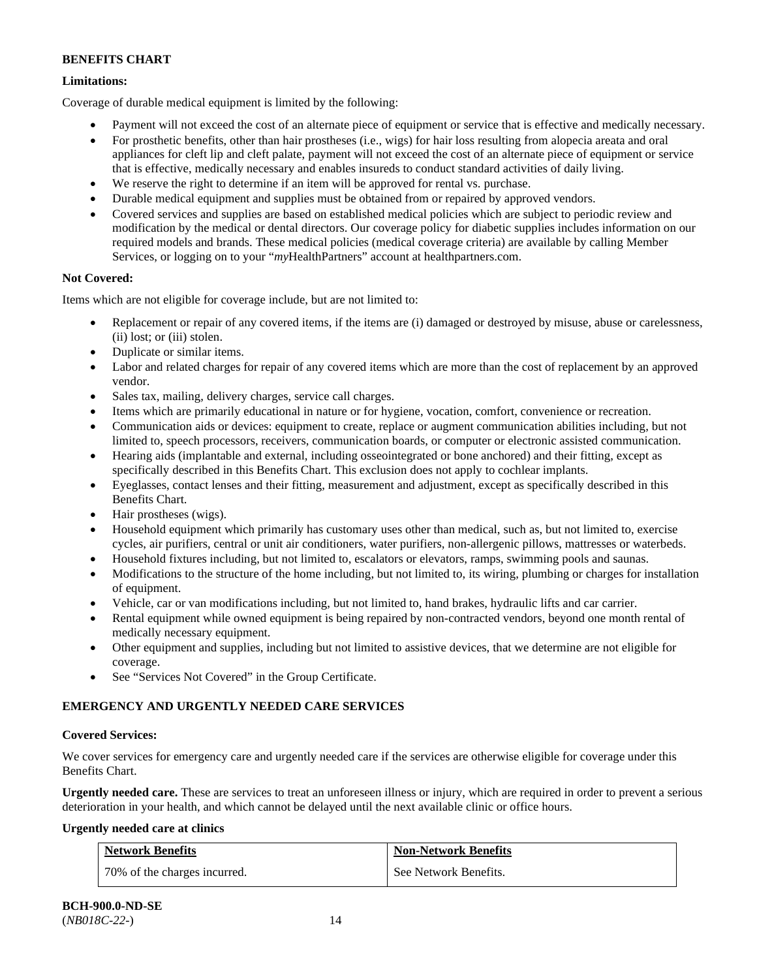# **Limitations:**

Coverage of durable medical equipment is limited by the following:

- Payment will not exceed the cost of an alternate piece of equipment or service that is effective and medically necessary.
- For prosthetic benefits, other than hair prostheses (i.e., wigs) for hair loss resulting from alopecia areata and oral appliances for cleft lip and cleft palate, payment will not exceed the cost of an alternate piece of equipment or service that is effective, medically necessary and enables insureds to conduct standard activities of daily living.
- We reserve the right to determine if an item will be approved for rental vs. purchase.
- Durable medical equipment and supplies must be obtained from or repaired by approved vendors.
- Covered services and supplies are based on established medical policies which are subject to periodic review and modification by the medical or dental directors. Our coverage policy for diabetic supplies includes information on our required models and brands. These medical policies (medical coverage criteria) are available by calling Member Services, or logging on to your "*my*HealthPartners" account at [healthpartners.com.](http://www.healthpartners.com/)

# **Not Covered:**

Items which are not eligible for coverage include, but are not limited to:

- Replacement or repair of any covered items, if the items are (i) damaged or destroyed by misuse, abuse or carelessness, (ii) lost; or (iii) stolen.
- Duplicate or similar items.
- Labor and related charges for repair of any covered items which are more than the cost of replacement by an approved vendor.
- Sales tax, mailing, delivery charges, service call charges.
- Items which are primarily educational in nature or for hygiene, vocation, comfort, convenience or recreation.
- Communication aids or devices: equipment to create, replace or augment communication abilities including, but not limited to, speech processors, receivers, communication boards, or computer or electronic assisted communication.
- Hearing aids (implantable and external, including osseointegrated or bone anchored) and their fitting, except as specifically described in this Benefits Chart. This exclusion does not apply to cochlear implants.
- Eyeglasses, contact lenses and their fitting, measurement and adjustment, except as specifically described in this Benefits Chart.
- Hair prostheses (wigs).
- Household equipment which primarily has customary uses other than medical, such as, but not limited to, exercise cycles, air purifiers, central or unit air conditioners, water purifiers, non-allergenic pillows, mattresses or waterbeds.
- Household fixtures including, but not limited to, escalators or elevators, ramps, swimming pools and saunas.
- Modifications to the structure of the home including, but not limited to, its wiring, plumbing or charges for installation of equipment.
- Vehicle, car or van modifications including, but not limited to, hand brakes, hydraulic lifts and car carrier.
- Rental equipment while owned equipment is being repaired by non-contracted vendors, beyond one month rental of medically necessary equipment.
- Other equipment and supplies, including but not limited to assistive devices, that we determine are not eligible for coverage.
- See "Services Not Covered" in the Group Certificate.

# **EMERGENCY AND URGENTLY NEEDED CARE SERVICES**

# **Covered Services:**

We cover services for emergency care and urgently needed care if the services are otherwise eligible for coverage under this Benefits Chart.

**Urgently needed care.** These are services to treat an unforeseen illness or injury, which are required in order to prevent a serious deterioration in your health, and which cannot be delayed until the next available clinic or office hours.

# **Urgently needed care at clinics**

| <b>Network Benefits</b>      | <b>Non-Network Benefits</b> |
|------------------------------|-----------------------------|
| 70% of the charges incurred. | See Network Benefits.       |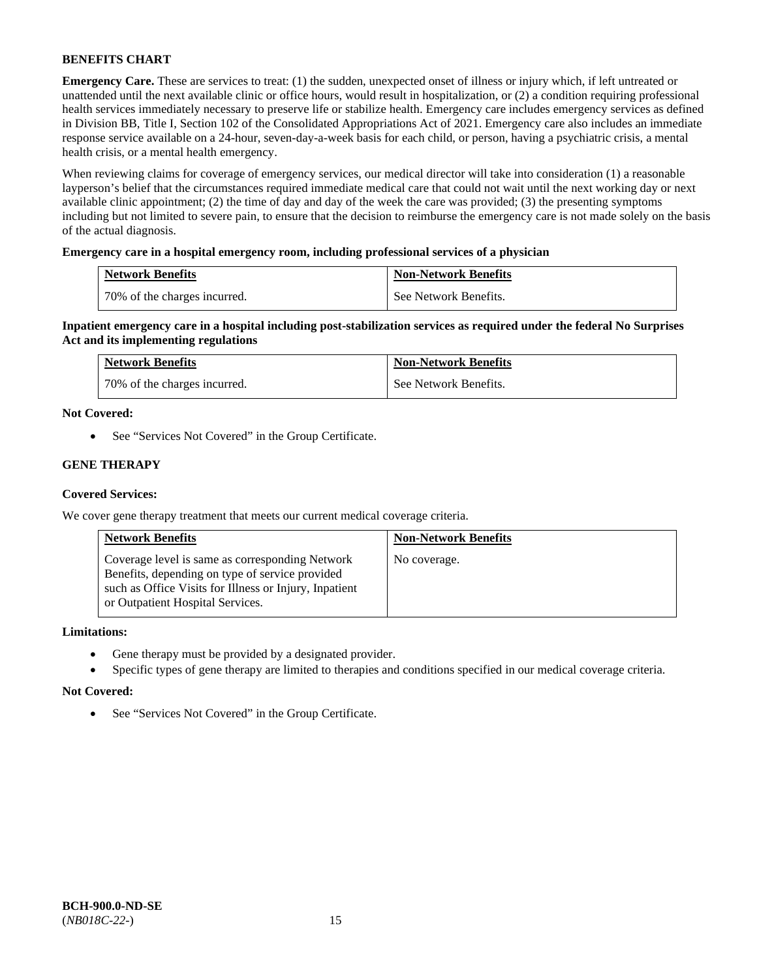**Emergency Care.** These are services to treat: (1) the sudden, unexpected onset of illness or injury which, if left untreated or unattended until the next available clinic or office hours, would result in hospitalization, or (2) a condition requiring professional health services immediately necessary to preserve life or stabilize health. Emergency care includes emergency services as defined in Division BB, Title I, Section 102 of the Consolidated Appropriations Act of 2021. Emergency care also includes an immediate response service available on a 24-hour, seven-day-a-week basis for each child, or person, having a psychiatric crisis, a mental health crisis, or a mental health emergency.

When reviewing claims for coverage of emergency services, our medical director will take into consideration (1) a reasonable layperson's belief that the circumstances required immediate medical care that could not wait until the next working day or next available clinic appointment; (2) the time of day and day of the week the care was provided; (3) the presenting symptoms including but not limited to severe pain, to ensure that the decision to reimburse the emergency care is not made solely on the basis of the actual diagnosis.

# **Emergency care in a hospital emergency room, including professional services of a physician**

| <b>Network Benefits</b>      | <b>Non-Network Benefits</b> |
|------------------------------|-----------------------------|
| 70% of the charges incurred. | See Network Benefits.       |

**Inpatient emergency care in a hospital including post-stabilization services as required under the federal No Surprises Act and its implementing regulations**

| <b>Network Benefits</b>        | <b>Non-Network Benefits</b> |
|--------------------------------|-----------------------------|
| 1 70% of the charges incurred. | See Network Benefits.       |

#### **Not Covered:**

• See "Services Not Covered" in the Group Certificate.

# **GENE THERAPY**

### **Covered Services:**

We cover gene therapy treatment that meets our current medical coverage criteria.

| <b>Network Benefits</b>                                                                                                                                                                          | <b>Non-Network Benefits</b> |
|--------------------------------------------------------------------------------------------------------------------------------------------------------------------------------------------------|-----------------------------|
| Coverage level is same as corresponding Network<br>Benefits, depending on type of service provided<br>such as Office Visits for Illness or Injury, Inpatient<br>or Outpatient Hospital Services. | No coverage.                |

#### **Limitations:**

- Gene therapy must be provided by a designated provider.
- Specific types of gene therapy are limited to therapies and conditions specified in our medical coverage criteria.

#### **Not Covered:**

• See "Services Not Covered" in the Group Certificate.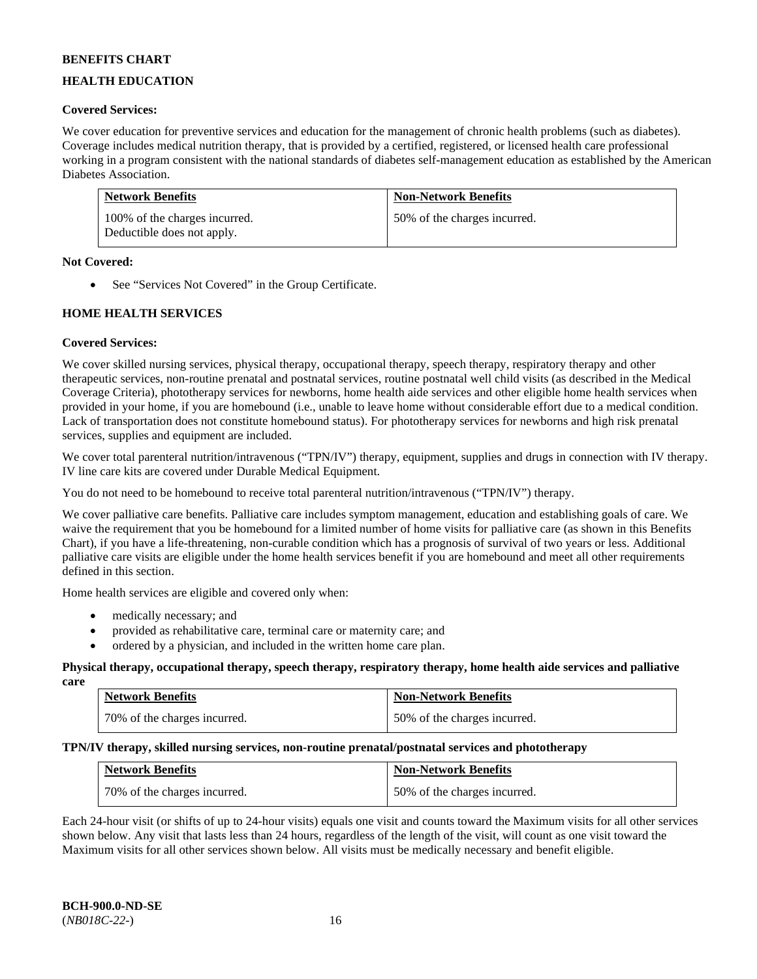# **HEALTH EDUCATION**

### **Covered Services:**

We cover education for preventive services and education for the management of chronic health problems (such as diabetes). Coverage includes medical nutrition therapy, that is provided by a certified, registered, or licensed health care professional working in a program consistent with the national standards of diabetes self-management education as established by the American Diabetes Association.

| <b>Network Benefits</b>                                     | <b>Non-Network Benefits</b>  |
|-------------------------------------------------------------|------------------------------|
| 100% of the charges incurred.<br>Deductible does not apply. | 50% of the charges incurred. |

#### **Not Covered:**

• See "Services Not Covered" in the Group Certificate.

# **HOME HEALTH SERVICES**

#### **Covered Services:**

We cover skilled nursing services, physical therapy, occupational therapy, speech therapy, respiratory therapy and other therapeutic services, non-routine prenatal and postnatal services, routine postnatal well child visits (as described in the Medical Coverage Criteria), phototherapy services for newborns, home health aide services and other eligible home health services when provided in your home, if you are homebound (i.e., unable to leave home without considerable effort due to a medical condition. Lack of transportation does not constitute homebound status). For phototherapy services for newborns and high risk prenatal services, supplies and equipment are included.

We cover total parenteral nutrition/intravenous ("TPN/IV") therapy, equipment, supplies and drugs in connection with IV therapy. IV line care kits are covered under Durable Medical Equipment.

You do not need to be homebound to receive total parenteral nutrition/intravenous ("TPN/IV") therapy.

We cover palliative care benefits. Palliative care includes symptom management, education and establishing goals of care. We waive the requirement that you be homebound for a limited number of home visits for palliative care (as shown in this Benefits Chart), if you have a life-threatening, non-curable condition which has a prognosis of survival of two years or less. Additional palliative care visits are eligible under the home health services benefit if you are homebound and meet all other requirements defined in this section.

Home health services are eligible and covered only when:

- medically necessary; and
- provided as rehabilitative care, terminal care or maternity care; and
- ordered by a physician, and included in the written home care plan.

#### **Physical therapy, occupational therapy, speech therapy, respiratory therapy, home health aide services and palliative care**

| <b>Network Benefits</b>      | <b>Non-Network Benefits</b>  |
|------------------------------|------------------------------|
| 70% of the charges incurred. | 50% of the charges incurred. |

# **TPN/IV therapy, skilled nursing services, non-routine prenatal/postnatal services and phototherapy**

| <b>Network Benefits</b>      | <b>Non-Network Benefits</b>  |
|------------------------------|------------------------------|
| 70% of the charges incurred. | 50% of the charges incurred. |

Each 24-hour visit (or shifts of up to 24-hour visits) equals one visit and counts toward the Maximum visits for all other services shown below. Any visit that lasts less than 24 hours, regardless of the length of the visit, will count as one visit toward the Maximum visits for all other services shown below. All visits must be medically necessary and benefit eligible.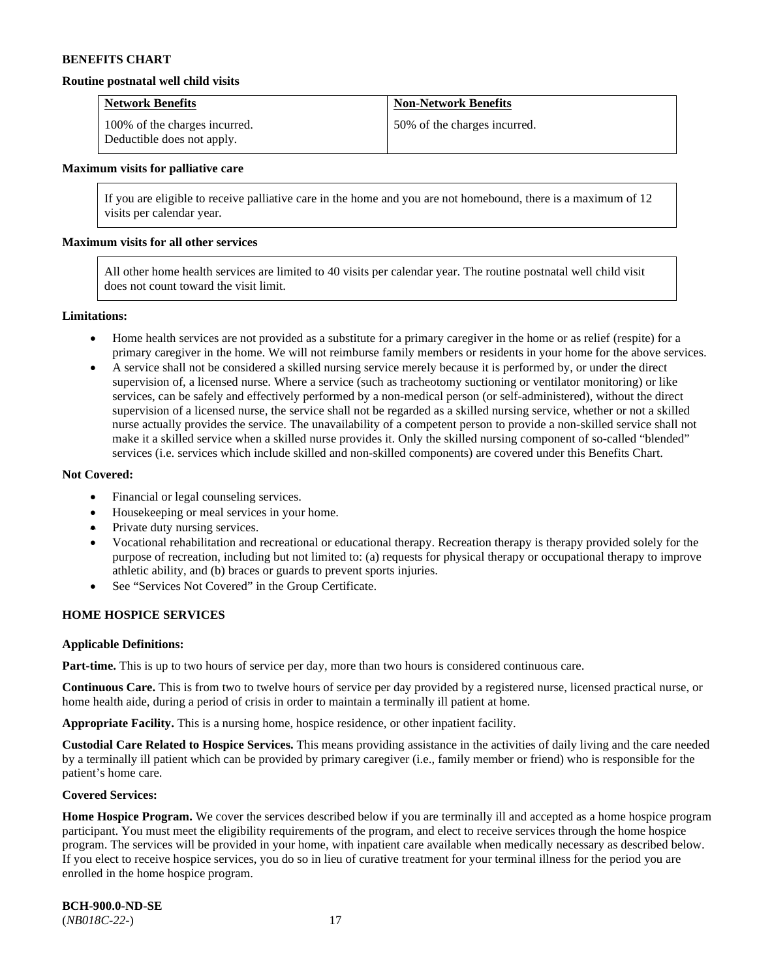#### **Routine postnatal well child visits**

| <b>Network Benefits</b>                                     | <b>Non-Network Benefits</b>  |
|-------------------------------------------------------------|------------------------------|
| 100% of the charges incurred.<br>Deductible does not apply. | 50% of the charges incurred. |

#### **Maximum visits for palliative care**

If you are eligible to receive palliative care in the home and you are not homebound, there is a maximum of 12 visits per calendar year.

#### **Maximum visits for all other services**

All other home health services are limited to 40 visits per calendar year. The routine postnatal well child visit does not count toward the visit limit.

#### **Limitations:**

- Home health services are not provided as a substitute for a primary caregiver in the home or as relief (respite) for a primary caregiver in the home. We will not reimburse family members or residents in your home for the above services.
- A service shall not be considered a skilled nursing service merely because it is performed by, or under the direct supervision of, a licensed nurse. Where a service (such as tracheotomy suctioning or ventilator monitoring) or like services, can be safely and effectively performed by a non-medical person (or self-administered), without the direct supervision of a licensed nurse, the service shall not be regarded as a skilled nursing service, whether or not a skilled nurse actually provides the service. The unavailability of a competent person to provide a non-skilled service shall not make it a skilled service when a skilled nurse provides it. Only the skilled nursing component of so-called "blended" services (i.e. services which include skilled and non-skilled components) are covered under this Benefits Chart.

#### **Not Covered:**

- Financial or legal counseling services.
- Housekeeping or meal services in your home.
- Private duty nursing services.
- Vocational rehabilitation and recreational or educational therapy. Recreation therapy is therapy provided solely for the purpose of recreation, including but not limited to: (a) requests for physical therapy or occupational therapy to improve athletic ability, and (b) braces or guards to prevent sports injuries.
- See "Services Not Covered" in the Group Certificate.

#### **HOME HOSPICE SERVICES**

#### **Applicable Definitions:**

**Part-time.** This is up to two hours of service per day, more than two hours is considered continuous care.

**Continuous Care.** This is from two to twelve hours of service per day provided by a registered nurse, licensed practical nurse, or home health aide, during a period of crisis in order to maintain a terminally ill patient at home.

**Appropriate Facility.** This is a nursing home, hospice residence, or other inpatient facility.

**Custodial Care Related to Hospice Services.** This means providing assistance in the activities of daily living and the care needed by a terminally ill patient which can be provided by primary caregiver (i.e., family member or friend) who is responsible for the patient's home care.

#### **Covered Services:**

Home Hospice Program. We cover the services described below if you are terminally ill and accepted as a home hospice program participant. You must meet the eligibility requirements of the program, and elect to receive services through the home hospice program. The services will be provided in your home, with inpatient care available when medically necessary as described below. If you elect to receive hospice services, you do so in lieu of curative treatment for your terminal illness for the period you are enrolled in the home hospice program.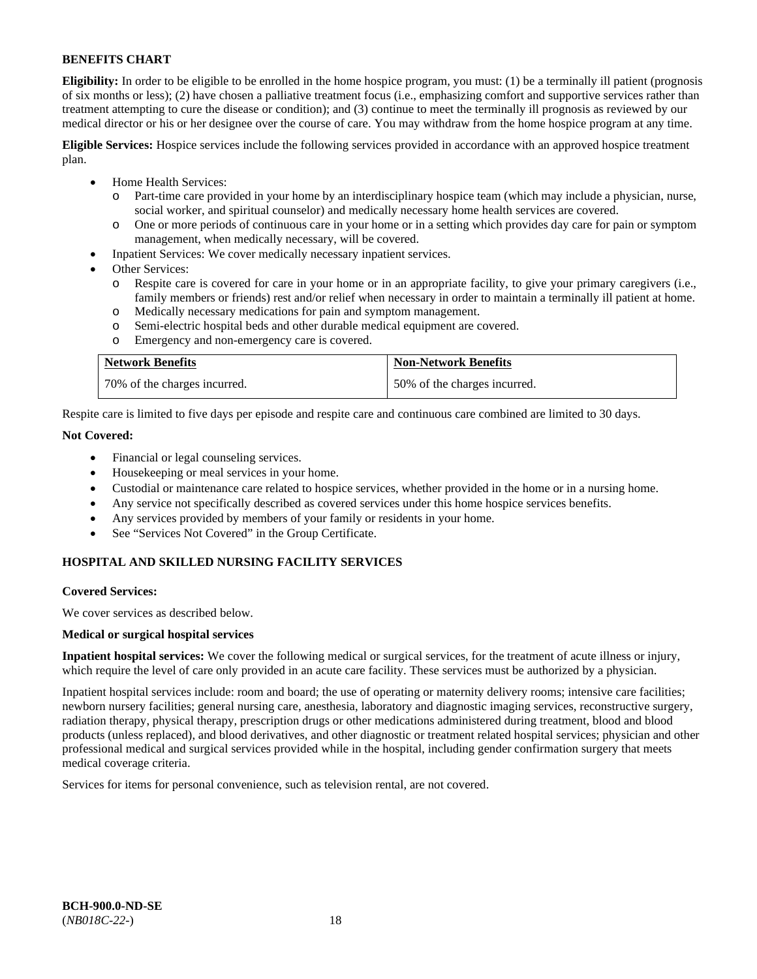**Eligibility:** In order to be eligible to be enrolled in the home hospice program, you must: (1) be a terminally ill patient (prognosis of six months or less); (2) have chosen a palliative treatment focus (i.e., emphasizing comfort and supportive services rather than treatment attempting to cure the disease or condition); and (3) continue to meet the terminally ill prognosis as reviewed by our medical director or his or her designee over the course of care. You may withdraw from the home hospice program at any time.

**Eligible Services:** Hospice services include the following services provided in accordance with an approved hospice treatment plan.

- Home Health Services:
	- o Part-time care provided in your home by an interdisciplinary hospice team (which may include a physician, nurse, social worker, and spiritual counselor) and medically necessary home health services are covered.
	- o One or more periods of continuous care in your home or in a setting which provides day care for pain or symptom management, when medically necessary, will be covered.
- Inpatient Services: We cover medically necessary inpatient services.
- Other Services:
	- Respite care is covered for care in your home or in an appropriate facility, to give your primary caregivers (i.e., family members or friends) rest and/or relief when necessary in order to maintain a terminally ill patient at home.
	- o Medically necessary medications for pain and symptom management.
	- Semi-electric hospital beds and other durable medical equipment are covered.
	- o Emergency and non-emergency care is covered.

| <b>Network Benefits</b>      | <b>Non-Network Benefits</b>  |
|------------------------------|------------------------------|
| 70% of the charges incurred. | 50% of the charges incurred. |

Respite care is limited to five days per episode and respite care and continuous care combined are limited to 30 days.

# **Not Covered:**

- Financial or legal counseling services.
- Housekeeping or meal services in your home.
- Custodial or maintenance care related to hospice services, whether provided in the home or in a nursing home.
- Any service not specifically described as covered services under this home hospice services benefits.
- Any services provided by members of your family or residents in your home.
- See "Services Not Covered" in the Group Certificate.

# **HOSPITAL AND SKILLED NURSING FACILITY SERVICES**

#### **Covered Services:**

We cover services as described below.

#### **Medical or surgical hospital services**

**Inpatient hospital services:** We cover the following medical or surgical services, for the treatment of acute illness or injury, which require the level of care only provided in an acute care facility. These services must be authorized by a physician.

Inpatient hospital services include: room and board; the use of operating or maternity delivery rooms; intensive care facilities; newborn nursery facilities; general nursing care, anesthesia, laboratory and diagnostic imaging services, reconstructive surgery, radiation therapy, physical therapy, prescription drugs or other medications administered during treatment, blood and blood products (unless replaced), and blood derivatives, and other diagnostic or treatment related hospital services; physician and other professional medical and surgical services provided while in the hospital, including gender confirmation surgery that meets medical coverage criteria.

Services for items for personal convenience, such as television rental, are not covered.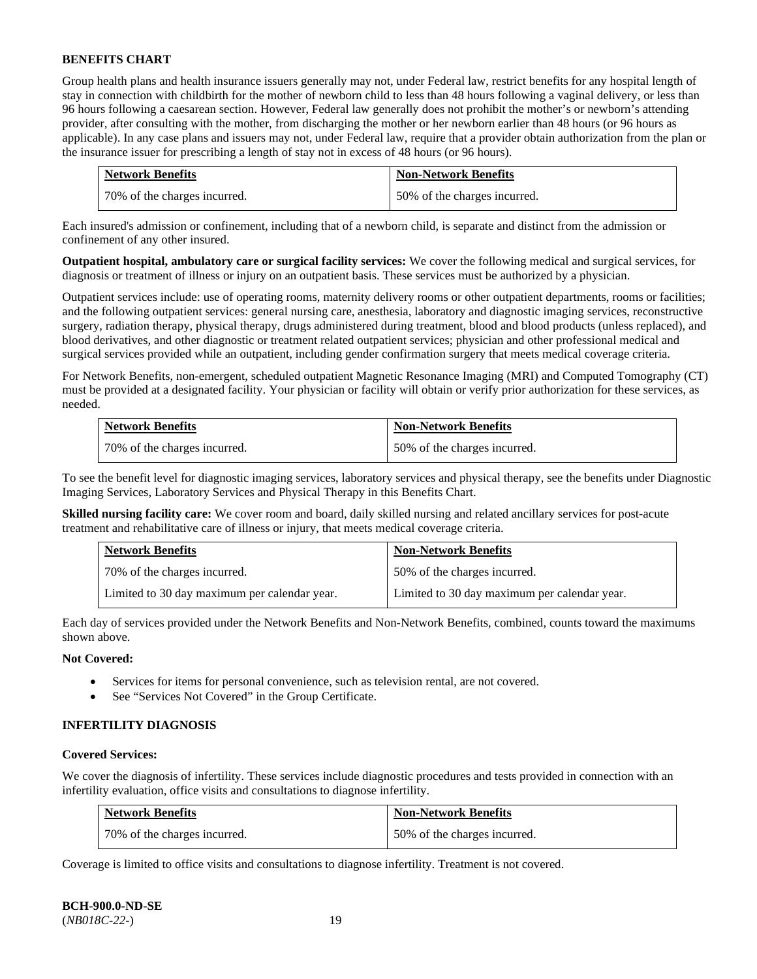Group health plans and health insurance issuers generally may not, under Federal law, restrict benefits for any hospital length of stay in connection with childbirth for the mother of newborn child to less than 48 hours following a vaginal delivery, or less than 96 hours following a caesarean section. However, Federal law generally does not prohibit the mother's or newborn's attending provider, after consulting with the mother, from discharging the mother or her newborn earlier than 48 hours (or 96 hours as applicable). In any case plans and issuers may not, under Federal law, require that a provider obtain authorization from the plan or the insurance issuer for prescribing a length of stay not in excess of 48 hours (or 96 hours).

| <b>Network Benefits</b>      | <b>Non-Network Benefits</b>  |
|------------------------------|------------------------------|
| 70% of the charges incurred. | 50% of the charges incurred. |

Each insured's admission or confinement, including that of a newborn child, is separate and distinct from the admission or confinement of any other insured.

**Outpatient hospital, ambulatory care or surgical facility services:** We cover the following medical and surgical services, for diagnosis or treatment of illness or injury on an outpatient basis. These services must be authorized by a physician.

Outpatient services include: use of operating rooms, maternity delivery rooms or other outpatient departments, rooms or facilities; and the following outpatient services: general nursing care, anesthesia, laboratory and diagnostic imaging services, reconstructive surgery, radiation therapy, physical therapy, drugs administered during treatment, blood and blood products (unless replaced), and blood derivatives, and other diagnostic or treatment related outpatient services; physician and other professional medical and surgical services provided while an outpatient, including gender confirmation surgery that meets medical coverage criteria.

For Network Benefits, non-emergent, scheduled outpatient Magnetic Resonance Imaging (MRI) and Computed Tomography (CT) must be provided at a designated facility. Your physician or facility will obtain or verify prior authorization for these services, as needed.

| <b>Network Benefits</b>      | <b>Non-Network Benefits</b>  |
|------------------------------|------------------------------|
| 70% of the charges incurred. | 50% of the charges incurred. |

To see the benefit level for diagnostic imaging services, laboratory services and physical therapy, see the benefits under Diagnostic Imaging Services, Laboratory Services and Physical Therapy in this Benefits Chart.

**Skilled nursing facility care:** We cover room and board, daily skilled nursing and related ancillary services for post-acute treatment and rehabilitative care of illness or injury, that meets medical coverage criteria.

| <b>Network Benefits</b>                      | <b>Non-Network Benefits</b>                  |
|----------------------------------------------|----------------------------------------------|
| 70% of the charges incurred.                 | 50% of the charges incurred.                 |
| Limited to 30 day maximum per calendar year. | Limited to 30 day maximum per calendar year. |

Each day of services provided under the Network Benefits and Non-Network Benefits, combined, counts toward the maximums shown above.

# **Not Covered:**

- Services for items for personal convenience, such as television rental, are not covered.
- See "Services Not Covered" in the Group Certificate.

#### **INFERTILITY DIAGNOSIS**

#### **Covered Services:**

We cover the diagnosis of infertility. These services include diagnostic procedures and tests provided in connection with an infertility evaluation, office visits and consultations to diagnose infertility.

| <b>Network Benefits</b>      | <b>Non-Network Benefits</b>  |
|------------------------------|------------------------------|
| 70% of the charges incurred. | 50% of the charges incurred. |

Coverage is limited to office visits and consultations to diagnose infertility. Treatment is not covered.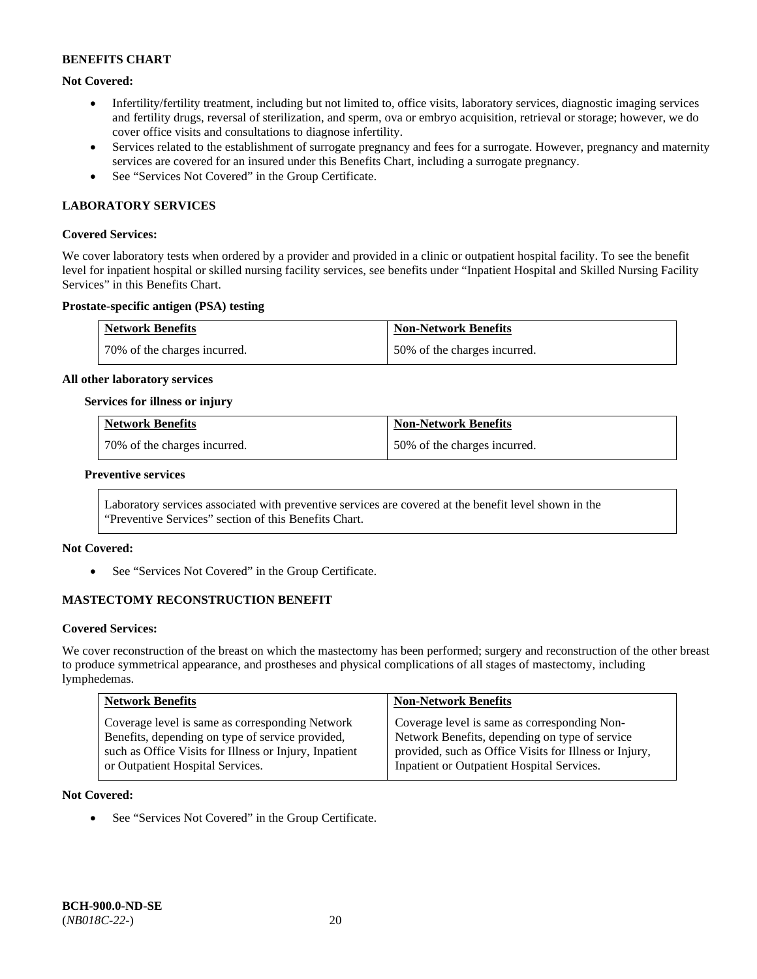# **Not Covered:**

- Infertility/fertility treatment, including but not limited to, office visits, laboratory services, diagnostic imaging services and fertility drugs, reversal of sterilization, and sperm, ova or embryo acquisition, retrieval or storage; however, we do cover office visits and consultations to diagnose infertility.
- Services related to the establishment of surrogate pregnancy and fees for a surrogate. However, pregnancy and maternity services are covered for an insured under this Benefits Chart, including a surrogate pregnancy.
- See "Services Not Covered" in the Group Certificate.

# **LABORATORY SERVICES**

#### **Covered Services:**

We cover laboratory tests when ordered by a provider and provided in a clinic or outpatient hospital facility. To see the benefit level for inpatient hospital or skilled nursing facility services, see benefits under "Inpatient Hospital and Skilled Nursing Facility Services" in this Benefits Chart.

#### **Prostate-specific antigen (PSA) testing**

| <b>Network Benefits</b>      | <b>Non-Network Benefits</b>  |
|------------------------------|------------------------------|
| 70% of the charges incurred. | 50% of the charges incurred. |

#### **All other laboratory services**

#### **Services for illness or injury**

| <b>Network Benefits</b>       | <b>Non-Network Benefits</b>  |
|-------------------------------|------------------------------|
| 170% of the charges incurred. | 50% of the charges incurred. |

#### **Preventive services**

Laboratory services associated with preventive services are covered at the benefit level shown in the "Preventive Services" section of this Benefits Chart.

# **Not Covered:**

See "Services Not Covered" in the Group Certificate.

# **MASTECTOMY RECONSTRUCTION BENEFIT**

#### **Covered Services:**

We cover reconstruction of the breast on which the mastectomy has been performed; surgery and reconstruction of the other breast to produce symmetrical appearance, and prostheses and physical complications of all stages of mastectomy, including lymphedemas.

| <b>Network Benefits</b>                                | <b>Non-Network Benefits</b>                            |
|--------------------------------------------------------|--------------------------------------------------------|
| Coverage level is same as corresponding Network        | Coverage level is same as corresponding Non-           |
| Benefits, depending on type of service provided,       | Network Benefits, depending on type of service         |
| such as Office Visits for Illness or Injury, Inpatient | provided, such as Office Visits for Illness or Injury, |
| or Outpatient Hospital Services.                       | Inpatient or Outpatient Hospital Services.             |

#### **Not Covered:**

• See "Services Not Covered" in the Group Certificate.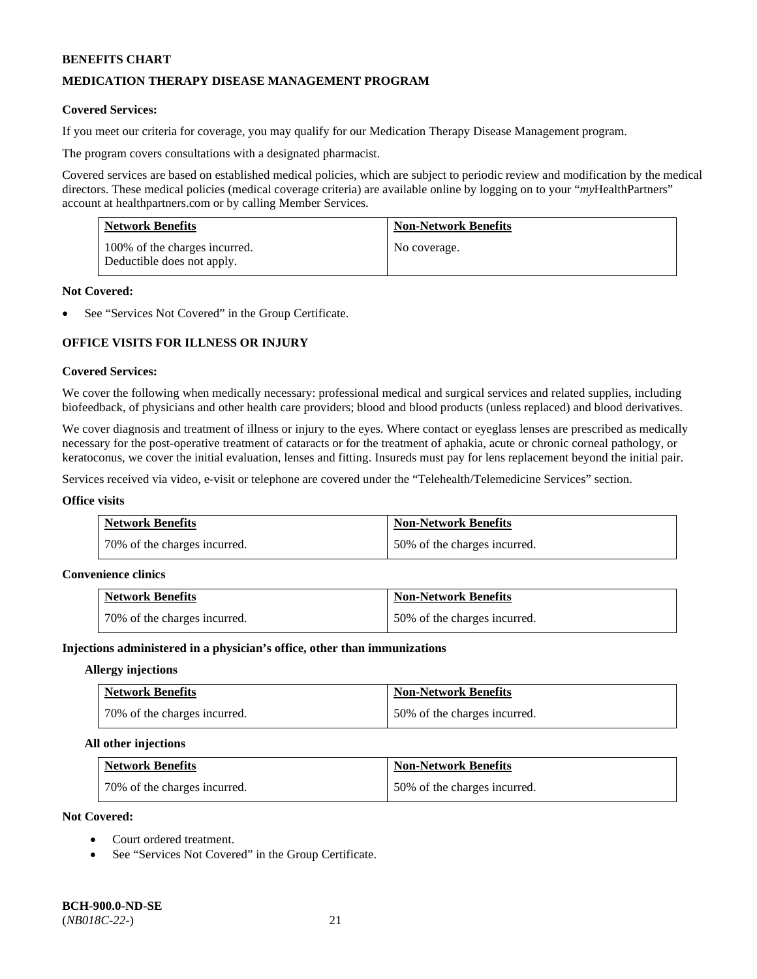# **MEDICATION THERAPY DISEASE MANAGEMENT PROGRAM**

#### **Covered Services:**

If you meet our criteria for coverage, you may qualify for our Medication Therapy Disease Management program.

The program covers consultations with a designated pharmacist.

Covered services are based on established medical policies, which are subject to periodic review and modification by the medical directors. These medical policies (medical coverage criteria) are available online by logging on to your "*my*HealthPartners" account a[t healthpartners.com](http://www.healthpartners.com/) or by calling Member Services.

| <b>Network Benefits</b>                                     | <b>Non-Network Benefits</b> |
|-------------------------------------------------------------|-----------------------------|
| 100% of the charges incurred.<br>Deductible does not apply. | No coverage.                |

#### **Not Covered:**

See "Services Not Covered" in the Group Certificate.

# **OFFICE VISITS FOR ILLNESS OR INJURY**

#### **Covered Services:**

We cover the following when medically necessary: professional medical and surgical services and related supplies, including biofeedback, of physicians and other health care providers; blood and blood products (unless replaced) and blood derivatives.

We cover diagnosis and treatment of illness or injury to the eyes. Where contact or eyeglass lenses are prescribed as medically necessary for the post-operative treatment of cataracts or for the treatment of aphakia, acute or chronic corneal pathology, or keratoconus, we cover the initial evaluation, lenses and fitting. Insureds must pay for lens replacement beyond the initial pair.

Services received via video, e-visit or telephone are covered under the "Telehealth/Telemedicine Services" section.

#### **Office visits**

| <b>Network Benefits</b>      | <b>Non-Network Benefits</b>  |
|------------------------------|------------------------------|
| 70% of the charges incurred. | 50% of the charges incurred. |

#### **Convenience clinics**

| <b>Network Benefits</b>      | <b>Non-Network Benefits</b>  |
|------------------------------|------------------------------|
| 70% of the charges incurred. | 50% of the charges incurred. |

#### **Injections administered in a physician's office, other than immunizations**

#### **Allergy injections**

| <b>Network Benefits</b>      | <b>Non-Network Benefits</b>  |
|------------------------------|------------------------------|
| 70% of the charges incurred. | 50% of the charges incurred. |

#### **All other injections**

| <b>Network Benefits</b>      | <b>Non-Network Benefits</b>  |
|------------------------------|------------------------------|
| 70% of the charges incurred. | 50% of the charges incurred. |

# **Not Covered:**

- Court ordered treatment.
- See "Services Not Covered" in the Group Certificate.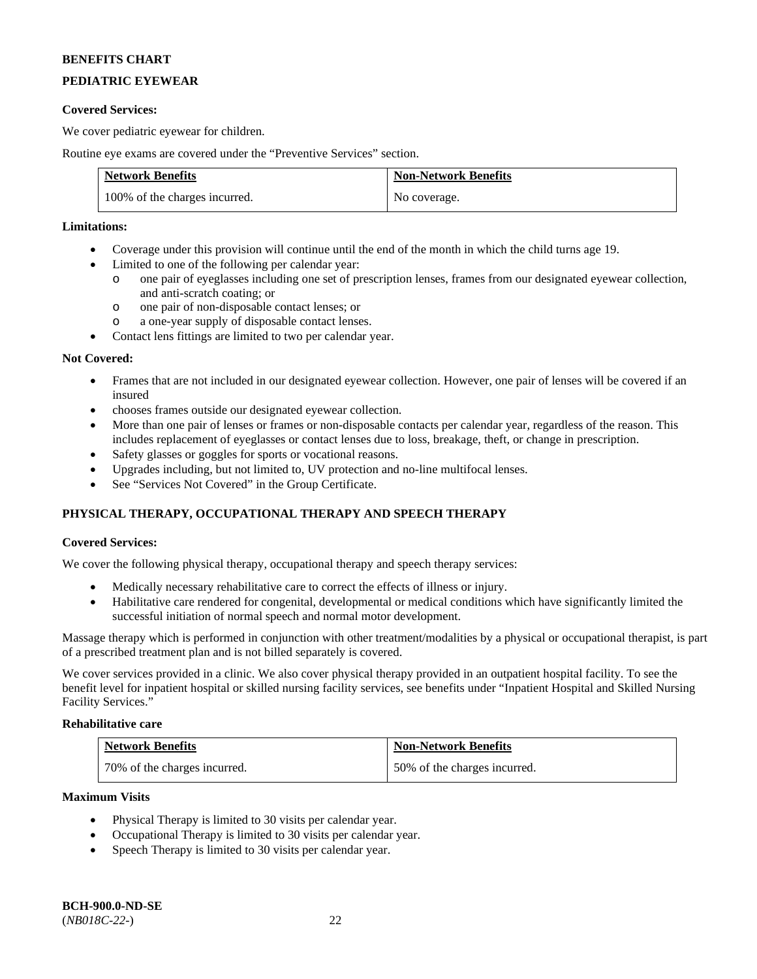# **PEDIATRIC EYEWEAR**

### **Covered Services:**

We cover pediatric eyewear for children.

Routine eye exams are covered under the "Preventive Services" section.

| <b>Network Benefits</b>       | <b>Non-Network Benefits</b> |
|-------------------------------|-----------------------------|
| 100% of the charges incurred. | No coverage.                |

# **Limitations:**

- Coverage under this provision will continue until the end of the month in which the child turns age 19.
- Limited to one of the following per calendar year:
	- o one pair of eyeglasses including one set of prescription lenses, frames from our designated eyewear collection, and anti-scratch coating; or
	- o one pair of non-disposable contact lenses; or
	- o a one-year supply of disposable contact lenses.
- Contact lens fittings are limited to two per calendar year.

#### **Not Covered:**

- Frames that are not included in our designated eyewear collection. However, one pair of lenses will be covered if an insured
- chooses frames outside our designated eyewear collection.
- More than one pair of lenses or frames or non-disposable contacts per calendar year, regardless of the reason. This includes replacement of eyeglasses or contact lenses due to loss, breakage, theft, or change in prescription.
- Safety glasses or goggles for sports or vocational reasons.
- Upgrades including, but not limited to, UV protection and no-line multifocal lenses.
- See "Services Not Covered" in the Group Certificate.

# **PHYSICAL THERAPY, OCCUPATIONAL THERAPY AND SPEECH THERAPY**

# **Covered Services:**

We cover the following physical therapy, occupational therapy and speech therapy services:

- Medically necessary rehabilitative care to correct the effects of illness or injury.
- Habilitative care rendered for congenital, developmental or medical conditions which have significantly limited the successful initiation of normal speech and normal motor development.

Massage therapy which is performed in conjunction with other treatment/modalities by a physical or occupational therapist, is part of a prescribed treatment plan and is not billed separately is covered.

We cover services provided in a clinic. We also cover physical therapy provided in an outpatient hospital facility. To see the benefit level for inpatient hospital or skilled nursing facility services, see benefits under "Inpatient Hospital and Skilled Nursing Facility Services."

# **Rehabilitative care**

| <b>Network Benefits</b>      | <b>Non-Network Benefits</b>  |
|------------------------------|------------------------------|
| 70% of the charges incurred. | 50% of the charges incurred. |

#### **Maximum Visits**

- Physical Therapy is limited to 30 visits per calendar year.
- Occupational Therapy is limited to 30 visits per calendar year.
- Speech Therapy is limited to 30 visits per calendar year.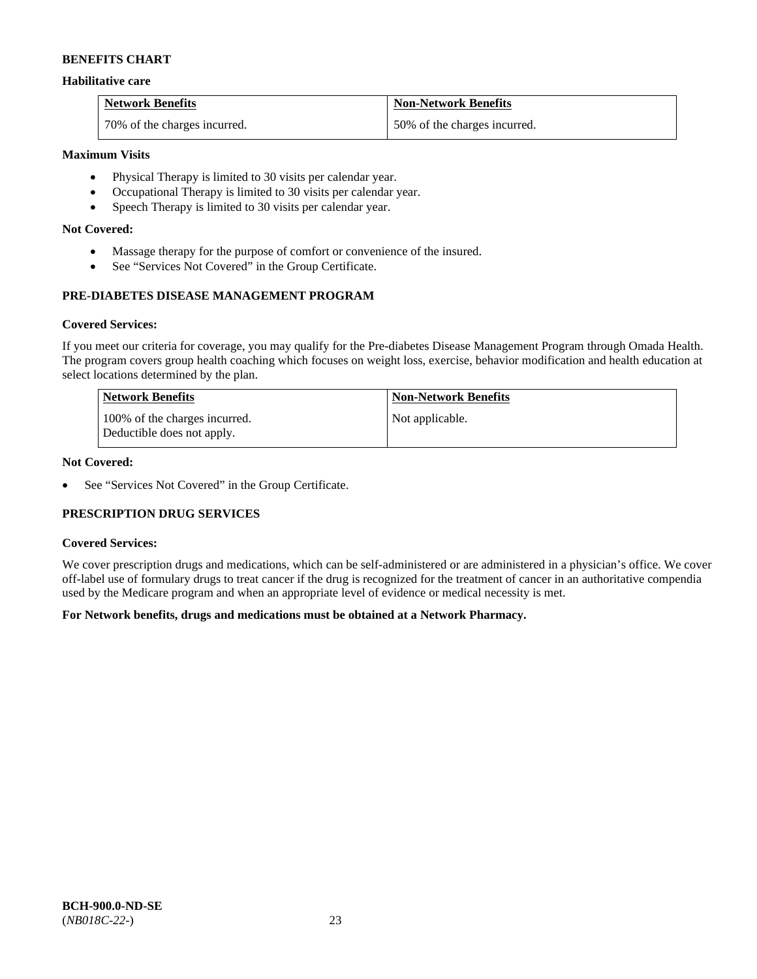### **Habilitative care**

| <b>Network Benefits</b>      | <b>Non-Network Benefits</b>  |
|------------------------------|------------------------------|
| 70% of the charges incurred. | 50% of the charges incurred. |

### **Maximum Visits**

- Physical Therapy is limited to 30 visits per calendar year.
- Occupational Therapy is limited to 30 visits per calendar year.
- Speech Therapy is limited to 30 visits per calendar year.

### **Not Covered:**

- Massage therapy for the purpose of comfort or convenience of the insured.
- See "Services Not Covered" in the Group Certificate.

# **PRE-DIABETES DISEASE MANAGEMENT PROGRAM**

#### **Covered Services:**

If you meet our criteria for coverage, you may qualify for the Pre-diabetes Disease Management Program through Omada Health. The program covers group health coaching which focuses on weight loss, exercise, behavior modification and health education at select locations determined by the plan.

| Network Benefits                                            | <b>Non-Network Benefits</b> |
|-------------------------------------------------------------|-----------------------------|
| 100% of the charges incurred.<br>Deductible does not apply. | Not applicable.             |

# **Not Covered:**

• See "Services Not Covered" in the Group Certificate.

# **PRESCRIPTION DRUG SERVICES**

#### **Covered Services:**

We cover prescription drugs and medications, which can be self-administered or are administered in a physician's office. We cover off-label use of formulary drugs to treat cancer if the drug is recognized for the treatment of cancer in an authoritative compendia used by the Medicare program and when an appropriate level of evidence or medical necessity is met.

# **For Network benefits, drugs and medications must be obtained at a Network Pharmacy.**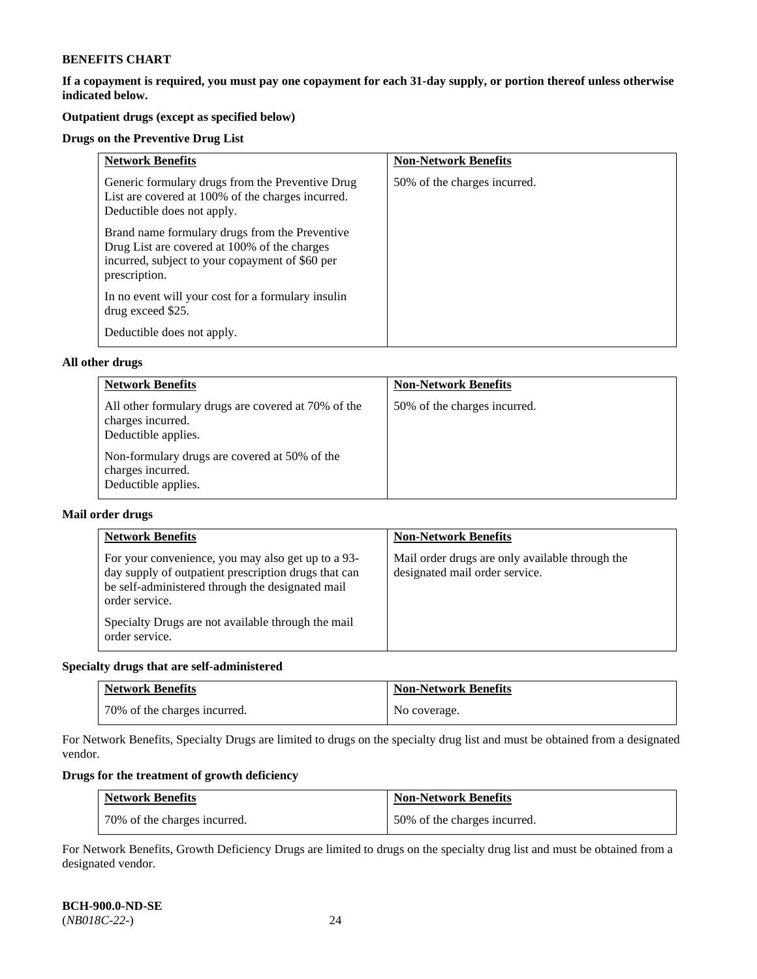**If a copayment is required, you must pay one copayment for each 31-day supply, or portion thereof unless otherwise indicated below.** 

# **Outpatient drugs (except as specified below)**

### **Drugs on the Preventive Drug List**

| <b>Network Benefits</b>                                                                                                                                            | <b>Non-Network Benefits</b>  |
|--------------------------------------------------------------------------------------------------------------------------------------------------------------------|------------------------------|
| Generic formulary drugs from the Preventive Drug<br>List are covered at 100% of the charges incurred.<br>Deductible does not apply.                                | 50% of the charges incurred. |
| Brand name formulary drugs from the Preventive<br>Drug List are covered at 100% of the charges<br>incurred, subject to your copayment of \$60 per<br>prescription. |                              |
| In no event will your cost for a formulary insulin<br>drug exceed \$25.                                                                                            |                              |
| Deductible does not apply.                                                                                                                                         |                              |

#### **All other drugs**

| <b>Network Benefits</b>                                                                         | <b>Non-Network Benefits</b>  |
|-------------------------------------------------------------------------------------------------|------------------------------|
| All other formulary drugs are covered at 70% of the<br>charges incurred.<br>Deductible applies. | 50% of the charges incurred. |
| Non-formulary drugs are covered at 50% of the<br>charges incurred.<br>Deductible applies.       |                              |

#### **Mail order drugs**

| <b>Network Benefits</b>                                                                                                                                                                                                                                  | <b>Non-Network Benefits</b>                                                       |
|----------------------------------------------------------------------------------------------------------------------------------------------------------------------------------------------------------------------------------------------------------|-----------------------------------------------------------------------------------|
| For your convenience, you may also get up to a 93-<br>day supply of outpatient prescription drugs that can<br>be self-administered through the designated mail<br>order service.<br>Specialty Drugs are not available through the mail<br>order service. | Mail order drugs are only available through the<br>designated mail order service. |

# **Specialty drugs that are self-administered**

| <b>Network Benefits</b>      | <b>Non-Network Benefits</b> |
|------------------------------|-----------------------------|
| 70% of the charges incurred. | No coverage.                |

For Network Benefits, Specialty Drugs are limited to drugs on the specialty drug list and must be obtained from a designated vendor.

# **Drugs for the treatment of growth deficiency**

| <b>Network Benefits</b>      | <b>Non-Network Benefits</b>  |
|------------------------------|------------------------------|
| 70% of the charges incurred. | 50% of the charges incurred. |

For Network Benefits, Growth Deficiency Drugs are limited to drugs on the specialty drug list and must be obtained from a designated vendor.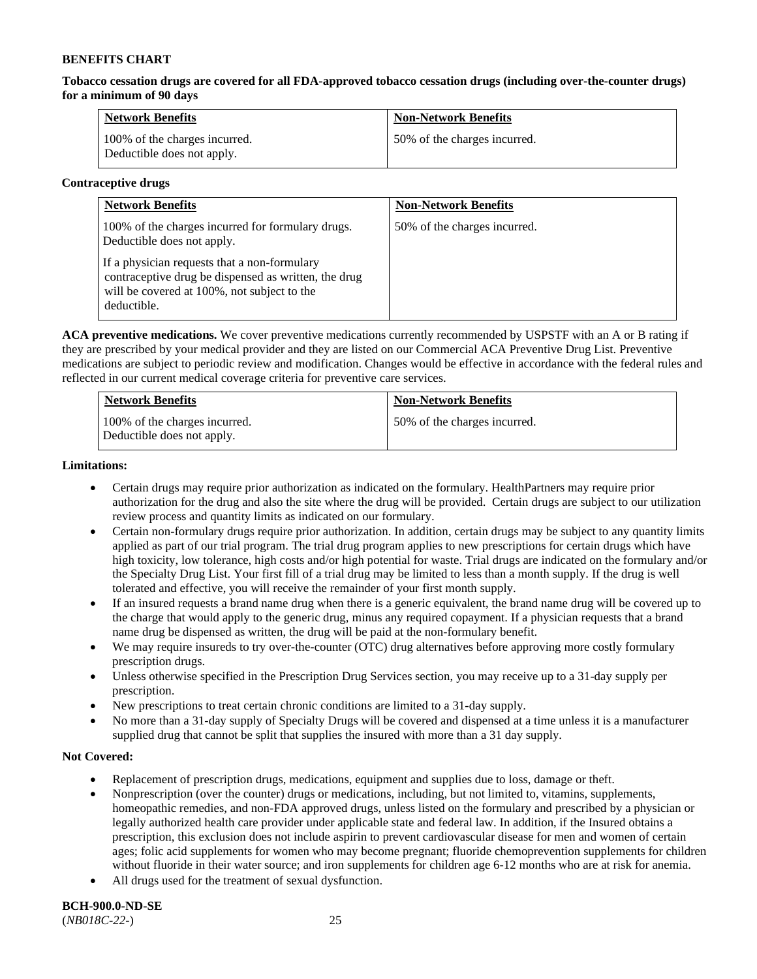**Tobacco cessation drugs are covered for all FDA-approved tobacco cessation drugs (including over-the-counter drugs) for a minimum of 90 days**

| <b>Network Benefits</b>                                     | <b>Non-Network Benefits</b>  |
|-------------------------------------------------------------|------------------------------|
| 100% of the charges incurred.<br>Deductible does not apply. | 50% of the charges incurred. |

#### **Contraceptive drugs**

| <b>Network Benefits</b>                                                                                                                                            | <b>Non-Network Benefits</b>  |
|--------------------------------------------------------------------------------------------------------------------------------------------------------------------|------------------------------|
| 100% of the charges incurred for formulary drugs.<br>Deductible does not apply.                                                                                    | 50% of the charges incurred. |
| If a physician requests that a non-formulary<br>contraceptive drug be dispensed as written, the drug<br>will be covered at 100%, not subject to the<br>deductible. |                              |

**ACA preventive medications.** We cover preventive medications currently recommended by USPSTF with an A or B rating if they are prescribed by your medical provider and they are listed on our Commercial ACA Preventive Drug List. Preventive medications are subject to periodic review and modification. Changes would be effective in accordance with the federal rules and reflected in our current medical coverage criteria for preventive care services.

| <b>Network Benefits</b>                                     | <b>Non-Network Benefits</b>  |
|-------------------------------------------------------------|------------------------------|
| 100% of the charges incurred.<br>Deductible does not apply. | 50% of the charges incurred. |

#### **Limitations:**

- Certain drugs may require prior authorization as indicated on the formulary. HealthPartners may require prior authorization for the drug and also the site where the drug will be provided. Certain drugs are subject to our utilization review process and quantity limits as indicated on our formulary.
- Certain non-formulary drugs require prior authorization. In addition, certain drugs may be subject to any quantity limits applied as part of our trial program. The trial drug program applies to new prescriptions for certain drugs which have high toxicity, low tolerance, high costs and/or high potential for waste. Trial drugs are indicated on the formulary and/or the Specialty Drug List. Your first fill of a trial drug may be limited to less than a month supply. If the drug is well tolerated and effective, you will receive the remainder of your first month supply.
- If an insured requests a brand name drug when there is a generic equivalent, the brand name drug will be covered up to the charge that would apply to the generic drug, minus any required copayment. If a physician requests that a brand name drug be dispensed as written, the drug will be paid at the non-formulary benefit.
- We may require insureds to try over-the-counter (OTC) drug alternatives before approving more costly formulary prescription drugs.
- Unless otherwise specified in the Prescription Drug Services section, you may receive up to a 31-day supply per prescription.
- New prescriptions to treat certain chronic conditions are limited to a 31-day supply.
- No more than a 31-day supply of Specialty Drugs will be covered and dispensed at a time unless it is a manufacturer supplied drug that cannot be split that supplies the insured with more than a 31 day supply.

# **Not Covered:**

- Replacement of prescription drugs, medications, equipment and supplies due to loss, damage or theft.
- Nonprescription (over the counter) drugs or medications, including, but not limited to, vitamins, supplements, homeopathic remedies, and non-FDA approved drugs, unless listed on the formulary and prescribed by a physician or legally authorized health care provider under applicable state and federal law. In addition, if the Insured obtains a prescription, this exclusion does not include aspirin to prevent cardiovascular disease for men and women of certain ages; folic acid supplements for women who may become pregnant; fluoride chemoprevention supplements for children without fluoride in their water source; and iron supplements for children age 6-12 months who are at risk for anemia.
- All drugs used for the treatment of sexual dysfunction.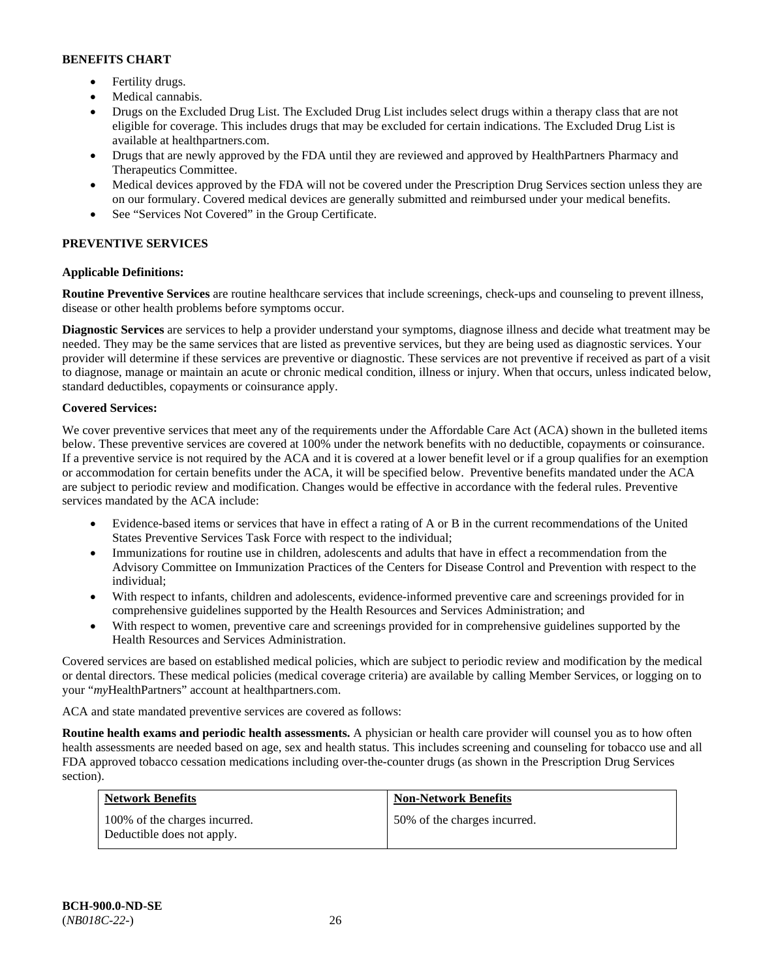- Fertility drugs.
- Medical cannabis.
- Drugs on the Excluded Drug List. The Excluded Drug List includes select drugs within a therapy class that are not eligible for coverage. This includes drugs that may be excluded for certain indications. The Excluded Drug List is available at [healthpartners.com.](http://www.healthpartners.com/)
- Drugs that are newly approved by the FDA until they are reviewed and approved by HealthPartners Pharmacy and Therapeutics Committee.
- Medical devices approved by the FDA will not be covered under the Prescription Drug Services section unless they are on our formulary. Covered medical devices are generally submitted and reimbursed under your medical benefits.
- See "Services Not Covered" in the Group Certificate.

# **PREVENTIVE SERVICES**

# **Applicable Definitions:**

**Routine Preventive Services** are routine healthcare services that include screenings, check-ups and counseling to prevent illness, disease or other health problems before symptoms occur.

**Diagnostic Services** are services to help a provider understand your symptoms, diagnose illness and decide what treatment may be needed. They may be the same services that are listed as preventive services, but they are being used as diagnostic services. Your provider will determine if these services are preventive or diagnostic. These services are not preventive if received as part of a visit to diagnose, manage or maintain an acute or chronic medical condition, illness or injury. When that occurs, unless indicated below, standard deductibles, copayments or coinsurance apply.

# **Covered Services:**

We cover preventive services that meet any of the requirements under the Affordable Care Act (ACA) shown in the bulleted items below. These preventive services are covered at 100% under the network benefits with no deductible, copayments or coinsurance. If a preventive service is not required by the ACA and it is covered at a lower benefit level or if a group qualifies for an exemption or accommodation for certain benefits under the ACA, it will be specified below. Preventive benefits mandated under the ACA are subject to periodic review and modification. Changes would be effective in accordance with the federal rules. Preventive services mandated by the ACA include:

- Evidence-based items or services that have in effect a rating of A or B in the current recommendations of the United States Preventive Services Task Force with respect to the individual;
- Immunizations for routine use in children, adolescents and adults that have in effect a recommendation from the Advisory Committee on Immunization Practices of the Centers for Disease Control and Prevention with respect to the individual;
- With respect to infants, children and adolescents, evidence-informed preventive care and screenings provided for in comprehensive guidelines supported by the Health Resources and Services Administration; and
- With respect to women, preventive care and screenings provided for in comprehensive guidelines supported by the Health Resources and Services Administration.

Covered services are based on established medical policies, which are subject to periodic review and modification by the medical or dental directors. These medical policies (medical coverage criteria) are available by calling Member Services, or logging on to your "*my*HealthPartners" account at [healthpartners.com.](http://www.healthpartners.com/) 

ACA and state mandated preventive services are covered as follows:

**Routine health exams and periodic health assessments.** A physician or health care provider will counsel you as to how often health assessments are needed based on age, sex and health status. This includes screening and counseling for tobacco use and all FDA approved tobacco cessation medications including over-the-counter drugs (as shown in the Prescription Drug Services section).

| <b>Network Benefits</b>                                     | <b>Non-Network Benefits</b>  |
|-------------------------------------------------------------|------------------------------|
| 100% of the charges incurred.<br>Deductible does not apply. | 50% of the charges incurred. |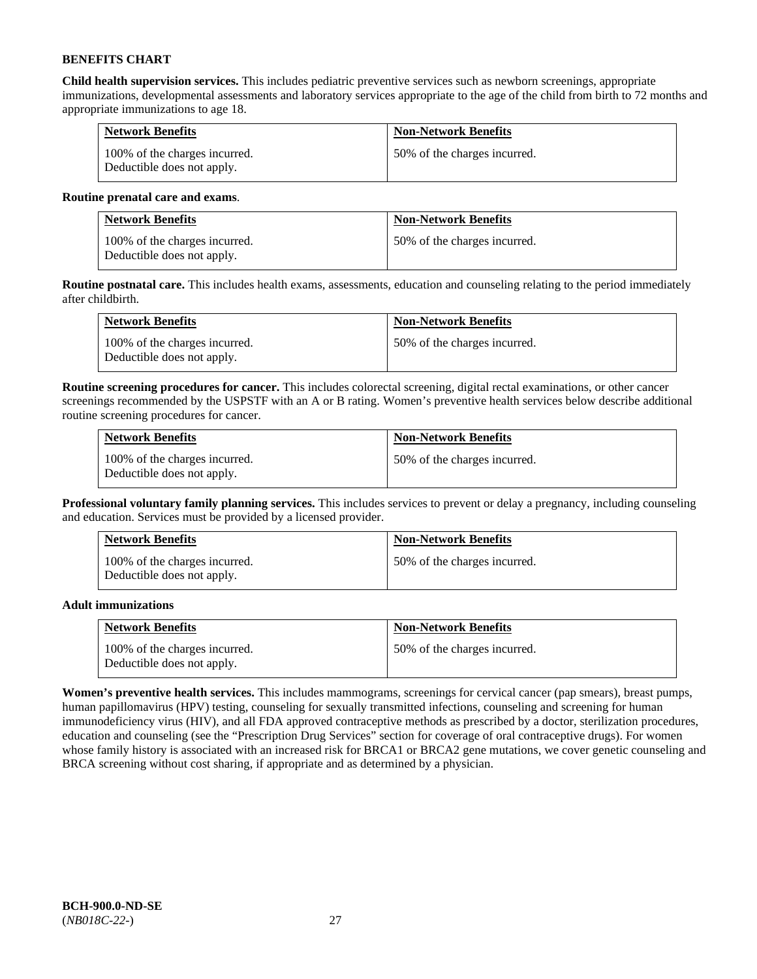**Child health supervision services.** This includes pediatric preventive services such as newborn screenings, appropriate immunizations, developmental assessments and laboratory services appropriate to the age of the child from birth to 72 months and appropriate immunizations to age 18.

| <b>Network Benefits</b>                                     | <b>Non-Network Benefits</b>  |
|-------------------------------------------------------------|------------------------------|
| 100% of the charges incurred.<br>Deductible does not apply. | 50% of the charges incurred. |

#### **Routine prenatal care and exams**.

| <b>Network Benefits</b>                                     | <b>Non-Network Benefits</b>  |
|-------------------------------------------------------------|------------------------------|
| 100% of the charges incurred.<br>Deductible does not apply. | 50% of the charges incurred. |

**Routine postnatal care.** This includes health exams, assessments, education and counseling relating to the period immediately after childbirth.

| <b>Network Benefits</b>                                     | <b>Non-Network Benefits</b>  |
|-------------------------------------------------------------|------------------------------|
| 100% of the charges incurred.<br>Deductible does not apply. | 50% of the charges incurred. |

**Routine screening procedures for cancer.** This includes colorectal screening, digital rectal examinations, or other cancer screenings recommended by the USPSTF with an A or B rating. Women's preventive health services below describe additional routine screening procedures for cancer.

| <b>Network Benefits</b>                                     | <b>Non-Network Benefits</b>  |
|-------------------------------------------------------------|------------------------------|
| 100% of the charges incurred.<br>Deductible does not apply. | 50% of the charges incurred. |

**Professional voluntary family planning services.** This includes services to prevent or delay a pregnancy, including counseling and education. Services must be provided by a licensed provider.

| <b>Network Benefits</b>                                     | <b>Non-Network Benefits</b>  |
|-------------------------------------------------------------|------------------------------|
| 100% of the charges incurred.<br>Deductible does not apply. | 50% of the charges incurred. |

# **Adult immunizations**

| <b>Network Benefits</b>                                     | <b>Non-Network Benefits</b>  |
|-------------------------------------------------------------|------------------------------|
| 100% of the charges incurred.<br>Deductible does not apply. | 50% of the charges incurred. |

**Women's preventive health services.** This includes mammograms, screenings for cervical cancer (pap smears), breast pumps, human papillomavirus (HPV) testing, counseling for sexually transmitted infections, counseling and screening for human immunodeficiency virus (HIV), and all FDA approved contraceptive methods as prescribed by a doctor, sterilization procedures, education and counseling (see the "Prescription Drug Services" section for coverage of oral contraceptive drugs). For women whose family history is associated with an increased risk for BRCA1 or BRCA2 gene mutations, we cover genetic counseling and BRCA screening without cost sharing, if appropriate and as determined by a physician.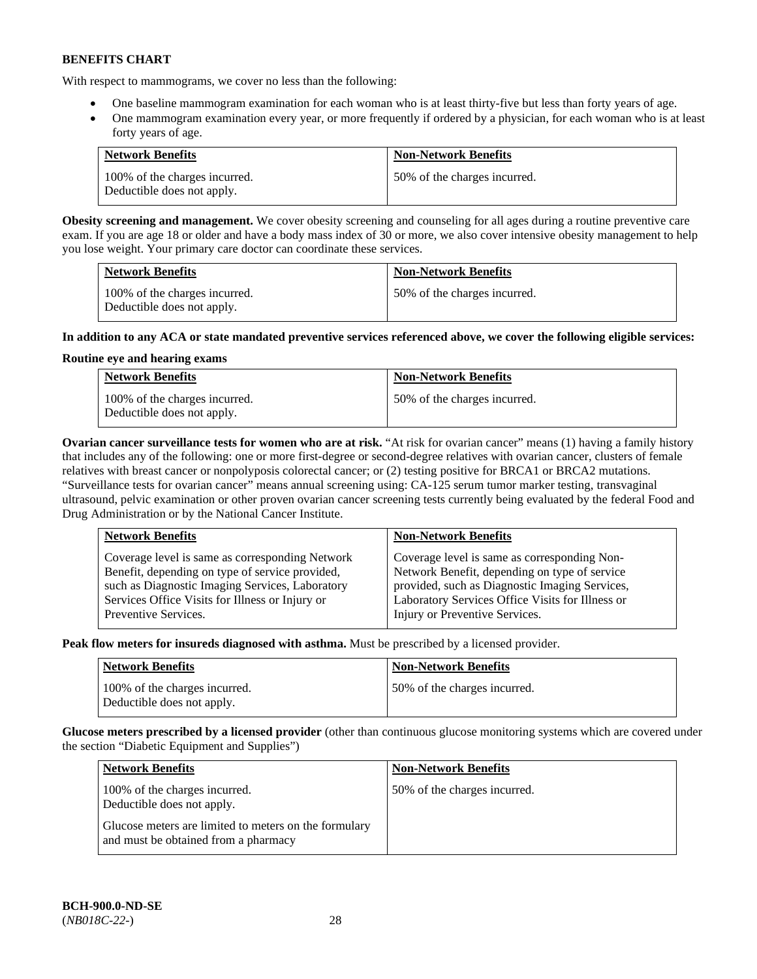With respect to mammograms, we cover no less than the following:

- One baseline mammogram examination for each woman who is at least thirty-five but less than forty years of age.
- One mammogram examination every year, or more frequently if ordered by a physician, for each woman who is at least forty years of age.

| <b>Network Benefits</b>                                     | <b>Non-Network Benefits</b>  |
|-------------------------------------------------------------|------------------------------|
| 100% of the charges incurred.<br>Deductible does not apply. | 50% of the charges incurred. |

**Obesity screening and management.** We cover obesity screening and counseling for all ages during a routine preventive care exam. If you are age 18 or older and have a body mass index of 30 or more, we also cover intensive obesity management to help you lose weight. Your primary care doctor can coordinate these services.

| <b>Network Benefits</b>                                     | <b>Non-Network Benefits</b>  |
|-------------------------------------------------------------|------------------------------|
| 100% of the charges incurred.<br>Deductible does not apply. | 50% of the charges incurred. |

# **In addition to any ACA or state mandated preventive services referenced above, we cover the following eligible services:**

# **Routine eye and hearing exams**

| <b>Network Benefits</b>                                     | <b>Non-Network Benefits</b>  |
|-------------------------------------------------------------|------------------------------|
| 100% of the charges incurred.<br>Deductible does not apply. | 50% of the charges incurred. |

**Ovarian cancer surveillance tests for women who are at risk.** "At risk for ovarian cancer" means (1) having a family history that includes any of the following: one or more first-degree or second-degree relatives with ovarian cancer, clusters of female relatives with breast cancer or nonpolyposis colorectal cancer; or (2) testing positive for BRCA1 or BRCA2 mutations. "Surveillance tests for ovarian cancer" means annual screening using: CA-125 serum tumor marker testing, transvaginal ultrasound, pelvic examination or other proven ovarian cancer screening tests currently being evaluated by the federal Food and Drug Administration or by the National Cancer Institute.

| <b>Network Benefits</b>                         | <b>Non-Network Benefits</b>                      |
|-------------------------------------------------|--------------------------------------------------|
| Coverage level is same as corresponding Network | Coverage level is same as corresponding Non-     |
| Benefit, depending on type of service provided, | Network Benefit, depending on type of service    |
| such as Diagnostic Imaging Services, Laboratory | provided, such as Diagnostic Imaging Services,   |
| Services Office Visits for Illness or Injury or | Laboratory Services Office Visits for Illness or |
| Preventive Services.                            | Injury or Preventive Services.                   |

**Peak flow meters for insureds diagnosed with asthma.** Must be prescribed by a licensed provider.

| <b>Network Benefits</b>                                     | <b>Non-Network Benefits</b>  |
|-------------------------------------------------------------|------------------------------|
| 100% of the charges incurred.<br>Deductible does not apply. | 50% of the charges incurred. |

**Glucose meters prescribed by a licensed provider** (other than continuous glucose monitoring systems which are covered under the section "Diabetic Equipment and Supplies")

| <b>Network Benefits</b>                                                                       | <b>Non-Network Benefits</b>  |
|-----------------------------------------------------------------------------------------------|------------------------------|
| 100% of the charges incurred.<br>Deductible does not apply.                                   | 50% of the charges incurred. |
| Glucose meters are limited to meters on the formulary<br>and must be obtained from a pharmacy |                              |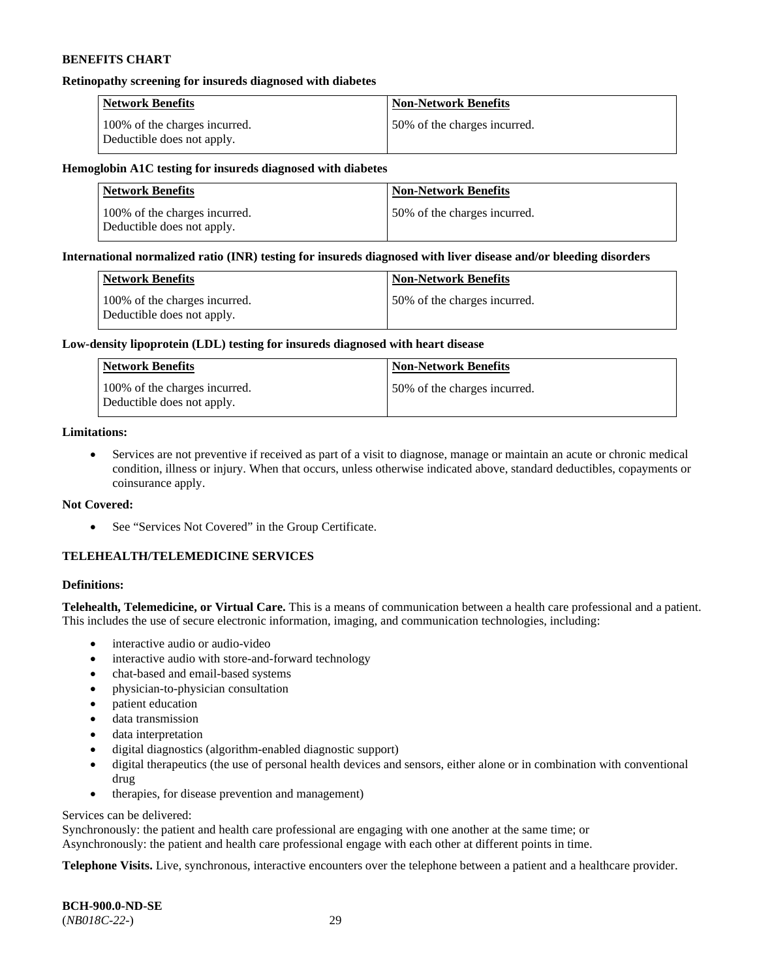#### **Retinopathy screening for insureds diagnosed with diabetes**

| <b>Network Benefits</b>                                     | <b>Non-Network Benefits</b>  |
|-------------------------------------------------------------|------------------------------|
| 100% of the charges incurred.<br>Deductible does not apply. | 50% of the charges incurred. |

#### **Hemoglobin A1C testing for insureds diagnosed with diabetes**

| <b>Network Benefits</b>                                     | <b>Non-Network Benefits</b>  |
|-------------------------------------------------------------|------------------------------|
| 100% of the charges incurred.<br>Deductible does not apply. | 50% of the charges incurred. |

#### **International normalized ratio (INR) testing for insureds diagnosed with liver disease and/or bleeding disorders**

| Network Benefits                                            | <b>Non-Network Benefits</b>  |
|-------------------------------------------------------------|------------------------------|
| 100% of the charges incurred.<br>Deductible does not apply. | 50% of the charges incurred. |

#### **Low-density lipoprotein (LDL) testing for insureds diagnosed with heart disease**

| <b>Network Benefits</b>                                     | <b>Non-Network Benefits</b>  |
|-------------------------------------------------------------|------------------------------|
| 100% of the charges incurred.<br>Deductible does not apply. | 50% of the charges incurred. |

# **Limitations:**

• Services are not preventive if received as part of a visit to diagnose, manage or maintain an acute or chronic medical condition, illness or injury. When that occurs, unless otherwise indicated above, standard deductibles, copayments or coinsurance apply.

#### **Not Covered:**

• See "Services Not Covered" in the Group Certificate.

# **TELEHEALTH/TELEMEDICINE SERVICES**

#### **Definitions:**

**Telehealth, Telemedicine, or Virtual Care.** This is a means of communication between a health care professional and a patient. This includes the use of secure electronic information, imaging, and communication technologies, including:

- interactive audio or audio-video
- interactive audio with store-and-forward technology
- chat-based and email-based systems
- physician-to-physician consultation
- patient education
- data transmission
- data interpretation
- digital diagnostics (algorithm-enabled diagnostic support)
- digital therapeutics (the use of personal health devices and sensors, either alone or in combination with conventional drug
- therapies, for disease prevention and management)

#### Services can be delivered:

Synchronously: the patient and health care professional are engaging with one another at the same time; or Asynchronously: the patient and health care professional engage with each other at different points in time.

**Telephone Visits.** Live, synchronous, interactive encounters over the telephone between a patient and a healthcare provider.

**BCH-900.0-ND-SE** (*NB018C-22-*) 29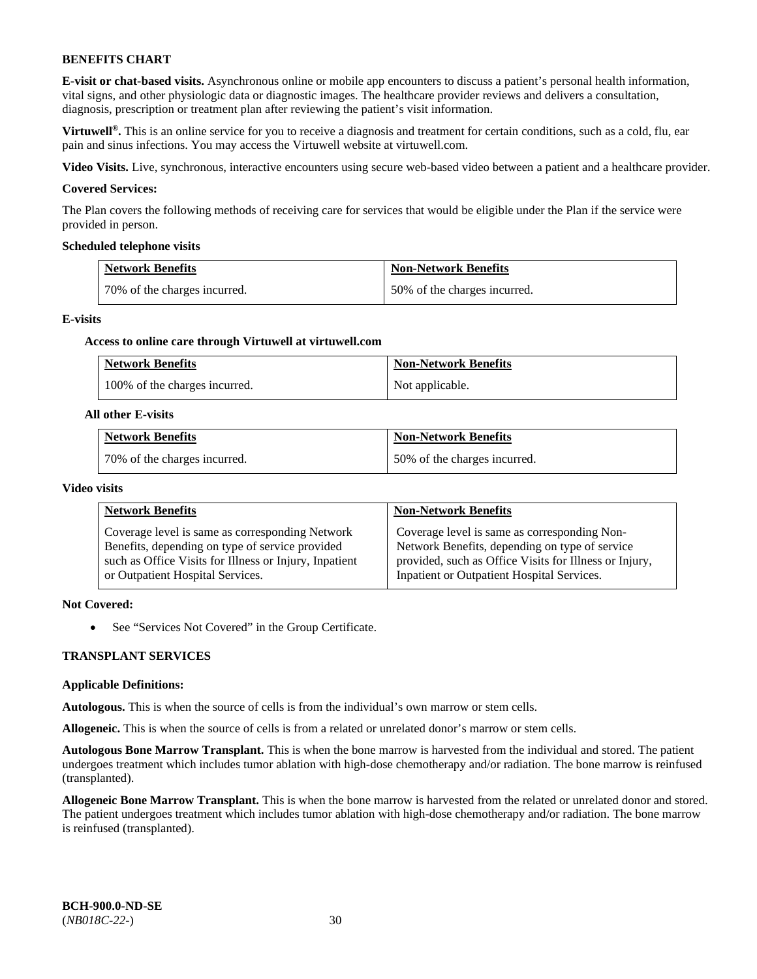**E-visit or chat-based visits.** Asynchronous online or mobile app encounters to discuss a patient's personal health information, vital signs, and other physiologic data or diagnostic images. The healthcare provider reviews and delivers a consultation, diagnosis, prescription or treatment plan after reviewing the patient's visit information.

**Virtuwell<sup>®</sup>**. This is an online service for you to receive a diagnosis and treatment for certain conditions, such as a cold, flu, ear pain and sinus infections. You may access the Virtuwell website at [virtuwell.com.](https://www.virtuwell.com/)

**Video Visits.** Live, synchronous, interactive encounters using secure web-based video between a patient and a healthcare provider.

#### **Covered Services:**

The Plan covers the following methods of receiving care for services that would be eligible under the Plan if the service were provided in person.

#### **Scheduled telephone visits**

| <b>Network Benefits</b>      | <b>Non-Network Benefits</b>  |
|------------------------------|------------------------------|
| 70% of the charges incurred. | 50% of the charges incurred. |

#### **E-visits**

#### **Access to online care through Virtuwell at [virtuwell.com](https://www.virtuwell.com/)**

| <b>Network Benefits</b>       | <b>Non-Network Benefits</b> |
|-------------------------------|-----------------------------|
| 100% of the charges incurred. | Not applicable.             |

#### **All other E-visits**

| <b>Network Benefits</b>      | <b>Non-Network Benefits</b>  |
|------------------------------|------------------------------|
| 70% of the charges incurred. | 50% of the charges incurred. |

#### **Video visits**

| <b>Network Benefits</b>                                | <b>Non-Network Benefits</b>                            |
|--------------------------------------------------------|--------------------------------------------------------|
| Coverage level is same as corresponding Network        | Coverage level is same as corresponding Non-           |
| Benefits, depending on type of service provided        | Network Benefits, depending on type of service         |
| such as Office Visits for Illness or Injury, Inpatient | provided, such as Office Visits for Illness or Injury, |
| or Outpatient Hospital Services.                       | Inpatient or Outpatient Hospital Services.             |

#### **Not Covered:**

• See "Services Not Covered" in the Group Certificate.

#### **TRANSPLANT SERVICES**

#### **Applicable Definitions:**

**Autologous.** This is when the source of cells is from the individual's own marrow or stem cells.

**Allogeneic.** This is when the source of cells is from a related or unrelated donor's marrow or stem cells.

**Autologous Bone Marrow Transplant.** This is when the bone marrow is harvested from the individual and stored. The patient undergoes treatment which includes tumor ablation with high-dose chemotherapy and/or radiation. The bone marrow is reinfused (transplanted).

**Allogeneic Bone Marrow Transplant.** This is when the bone marrow is harvested from the related or unrelated donor and stored. The patient undergoes treatment which includes tumor ablation with high-dose chemotherapy and/or radiation. The bone marrow is reinfused (transplanted).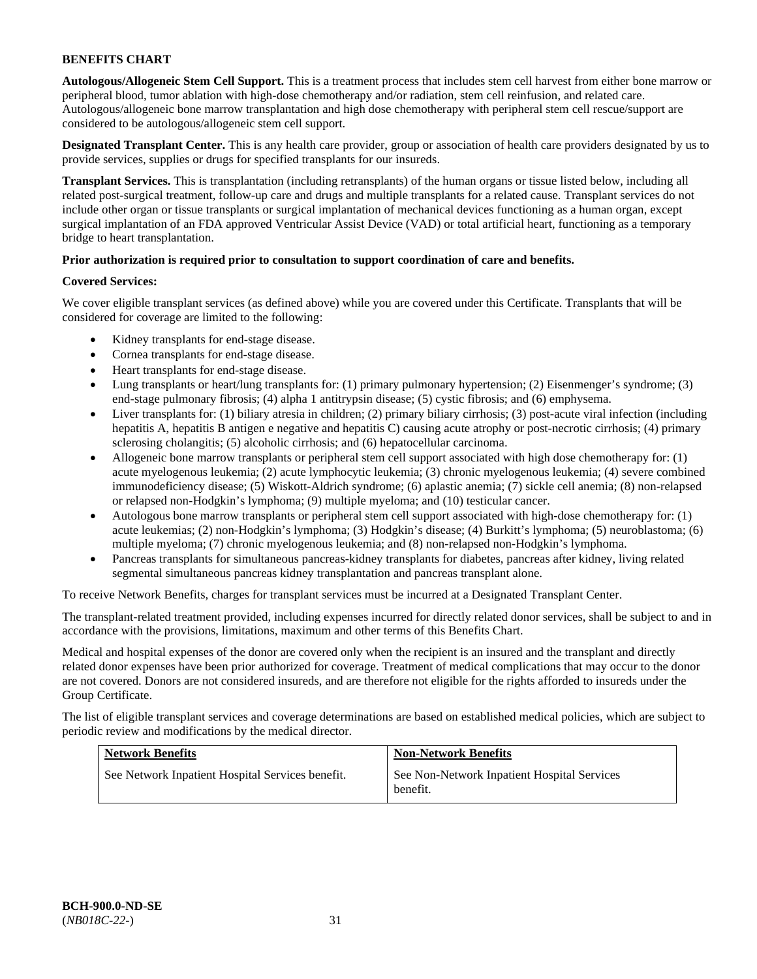**Autologous/Allogeneic Stem Cell Support.** This is a treatment process that includes stem cell harvest from either bone marrow or peripheral blood, tumor ablation with high-dose chemotherapy and/or radiation, stem cell reinfusion, and related care. Autologous/allogeneic bone marrow transplantation and high dose chemotherapy with peripheral stem cell rescue/support are considered to be autologous/allogeneic stem cell support.

**Designated Transplant Center.** This is any health care provider, group or association of health care providers designated by us to provide services, supplies or drugs for specified transplants for our insureds.

**Transplant Services.** This is transplantation (including retransplants) of the human organs or tissue listed below, including all related post-surgical treatment, follow-up care and drugs and multiple transplants for a related cause. Transplant services do not include other organ or tissue transplants or surgical implantation of mechanical devices functioning as a human organ, except surgical implantation of an FDA approved Ventricular Assist Device (VAD) or total artificial heart, functioning as a temporary bridge to heart transplantation.

# **Prior authorization is required prior to consultation to support coordination of care and benefits.**

# **Covered Services:**

We cover eligible transplant services (as defined above) while you are covered under this Certificate. Transplants that will be considered for coverage are limited to the following:

- Kidney transplants for end-stage disease.
- Cornea transplants for end-stage disease.
- Heart transplants for end-stage disease.
- Lung transplants or heart/lung transplants for: (1) primary pulmonary hypertension; (2) Eisenmenger's syndrome; (3) end-stage pulmonary fibrosis; (4) alpha 1 antitrypsin disease; (5) cystic fibrosis; and (6) emphysema.
- Liver transplants for: (1) biliary atresia in children; (2) primary biliary cirrhosis; (3) post-acute viral infection (including hepatitis A, hepatitis B antigen e negative and hepatitis C) causing acute atrophy or post-necrotic cirrhosis; (4) primary sclerosing cholangitis; (5) alcoholic cirrhosis; and (6) hepatocellular carcinoma.
- Allogeneic bone marrow transplants or peripheral stem cell support associated with high dose chemotherapy for: (1) acute myelogenous leukemia; (2) acute lymphocytic leukemia; (3) chronic myelogenous leukemia; (4) severe combined immunodeficiency disease; (5) Wiskott-Aldrich syndrome; (6) aplastic anemia; (7) sickle cell anemia; (8) non-relapsed or relapsed non-Hodgkin's lymphoma; (9) multiple myeloma; and (10) testicular cancer.
- Autologous bone marrow transplants or peripheral stem cell support associated with high-dose chemotherapy for: (1) acute leukemias; (2) non-Hodgkin's lymphoma; (3) Hodgkin's disease; (4) Burkitt's lymphoma; (5) neuroblastoma; (6) multiple myeloma; (7) chronic myelogenous leukemia; and (8) non-relapsed non-Hodgkin's lymphoma.
- Pancreas transplants for simultaneous pancreas-kidney transplants for diabetes, pancreas after kidney, living related segmental simultaneous pancreas kidney transplantation and pancreas transplant alone.

To receive Network Benefits, charges for transplant services must be incurred at a Designated Transplant Center.

The transplant-related treatment provided, including expenses incurred for directly related donor services, shall be subject to and in accordance with the provisions, limitations, maximum and other terms of this Benefits Chart.

Medical and hospital expenses of the donor are covered only when the recipient is an insured and the transplant and directly related donor expenses have been prior authorized for coverage. Treatment of medical complications that may occur to the donor are not covered. Donors are not considered insureds, and are therefore not eligible for the rights afforded to insureds under the Group Certificate.

The list of eligible transplant services and coverage determinations are based on established medical policies, which are subject to periodic review and modifications by the medical director.

| <b>Network Benefits</b>                          | <b>Non-Network Benefits</b>                             |
|--------------------------------------------------|---------------------------------------------------------|
| See Network Inpatient Hospital Services benefit. | See Non-Network Inpatient Hospital Services<br>benefit. |